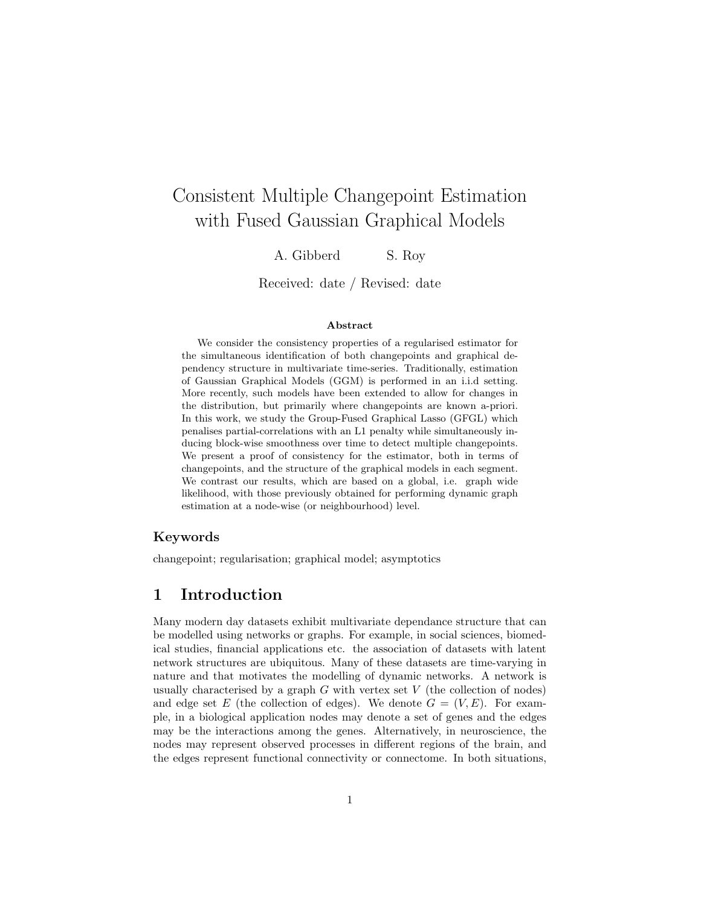# Consistent Multiple Changepoint Estimation with Fused Gaussian Graphical Models

A. Gibberd S. Roy

Received: date / Revised: date

#### Abstract

We consider the consistency properties of a regularised estimator for the simultaneous identification of both changepoints and graphical dependency structure in multivariate time-series. Traditionally, estimation of Gaussian Graphical Models (GGM) is performed in an i.i.d setting. More recently, such models have been extended to allow for changes in the distribution, but primarily where changepoints are known a-priori. In this work, we study the Group-Fused Graphical Lasso (GFGL) which penalises partial-correlations with an L1 penalty while simultaneously inducing block-wise smoothness over time to detect multiple changepoints. We present a proof of consistency for the estimator, both in terms of changepoints, and the structure of the graphical models in each segment. We contrast our results, which are based on a global, i.e. graph wide likelihood, with those previously obtained for performing dynamic graph estimation at a node-wise (or neighbourhood) level.

### Keywords

changepoint; regularisation; graphical model; asymptotics

# 1 Introduction

Many modern day datasets exhibit multivariate dependance structure that can be modelled using networks or graphs. For example, in social sciences, biomedical studies, financial applications etc. the association of datasets with latent network structures are ubiquitous. Many of these datasets are time-varying in nature and that motivates the modelling of dynamic networks. A network is usually characterised by a graph  $G$  with vertex set  $V$  (the collection of nodes) and edge set E (the collection of edges). We denote  $G = (V, E)$ . For example, in a biological application nodes may denote a set of genes and the edges may be the interactions among the genes. Alternatively, in neuroscience, the nodes may represent observed processes in different regions of the brain, and the edges represent functional connectivity or connectome. In both situations,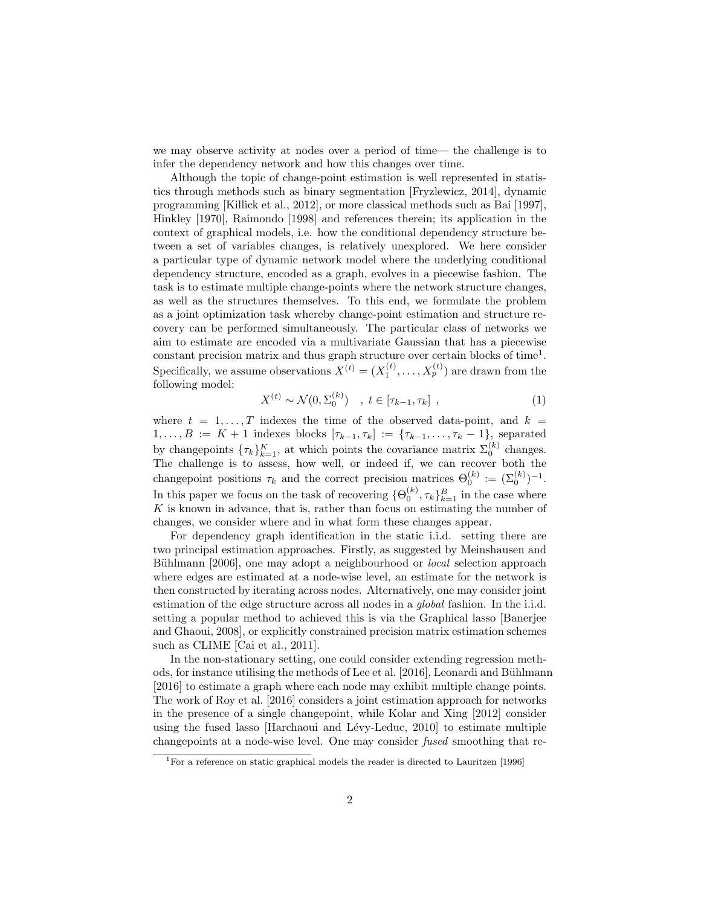we may observe activity at nodes over a period of time— the challenge is to infer the dependency network and how this changes over time.

Although the topic of change-point estimation is well represented in statistics through methods such as binary segmentation [Fryzlewicz, 2014], dynamic programming [Killick et al., 2012], or more classical methods such as Bai [1997], Hinkley [1970], Raimondo [1998] and references therein; its application in the context of graphical models, i.e. how the conditional dependency structure between a set of variables changes, is relatively unexplored. We here consider a particular type of dynamic network model where the underlying conditional dependency structure, encoded as a graph, evolves in a piecewise fashion. The task is to estimate multiple change-points where the network structure changes, as well as the structures themselves. To this end, we formulate the problem as a joint optimization task whereby change-point estimation and structure recovery can be performed simultaneously. The particular class of networks we aim to estimate are encoded via a multivariate Gaussian that has a piecewise constant precision matrix and thus graph structure over certain blocks of time<sup>1</sup>. Specifically, we assume observations  $X^{(t)} = (X_1^{(t)}, \ldots, X_p^{(t)})$  are drawn from the following model:

$$
X^{(t)} \sim \mathcal{N}(0, \Sigma_0^{(k)}) \quad , \ t \in [\tau_{k-1}, \tau_k] \ , \tag{1}
$$

where  $t = 1, \ldots, T$  indexes the time of the observed data-point, and  $k =$  $1, \ldots, B := K + 1$  indexes blocks  $[\tau_{k-1}, \tau_k] := {\tau_{k-1}, \ldots, \tau_k - 1}$ , separated by changepoints  $\{\tau_k\}_{k=1}^K$ , at which points the covariance matrix  $\Sigma_0^{(k)}$  changes. The challenge is to assess, how well, or indeed if, we can recover both the changepoint positions  $\tau_k$  and the correct precision matrices  $\Theta_0^{(k)} := (\Sigma_0^{(k)})^{-1}$ . In this paper we focus on the task of recovering  $\{\Theta_0^{(k)}, \tau_k\}_{k=1}^B$  in the case where  $K$  is known in advance, that is, rather than focus on estimating the number of changes, we consider where and in what form these changes appear.

For dependency graph identification in the static i.i.d. setting there are two principal estimation approaches. Firstly, as suggested by Meinshausen and Bühlmann [2006], one may adopt a neighbourhood or *local* selection approach where edges are estimated at a node-wise level, an estimate for the network is then constructed by iterating across nodes. Alternatively, one may consider joint estimation of the edge structure across all nodes in a global fashion. In the i.i.d. setting a popular method to achieved this is via the Graphical lasso [Banerjee and Ghaoui, 2008], or explicitly constrained precision matrix estimation schemes such as CLIME [Cai et al., 2011].

In the non-stationary setting, one could consider extending regression methods, for instance utilising the methods of Lee et al. [2016], Leonardi and Bühlmann [2016] to estimate a graph where each node may exhibit multiple change points. The work of Roy et al. [2016] considers a joint estimation approach for networks in the presence of a single changepoint, while Kolar and Xing [2012] consider using the fused lasso  $[Harchaoui]$  and Lévy-Leduc, 2010 to estimate multiple changepoints at a node-wise level. One may consider fused smoothing that re-

<sup>&</sup>lt;sup>1</sup>For a reference on static graphical models the reader is directed to Lauritzen [1996]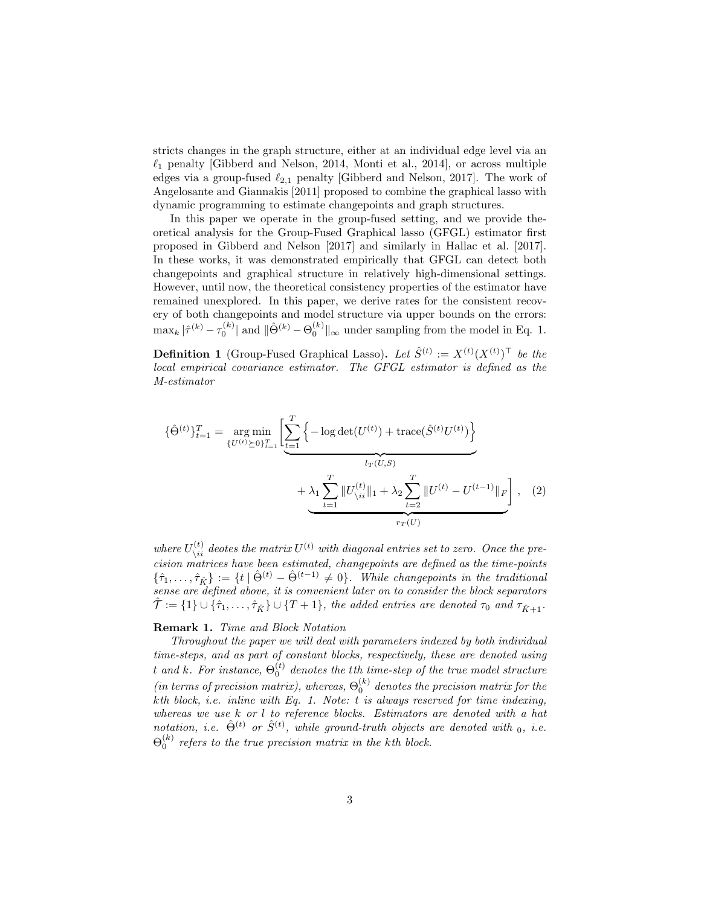stricts changes in the graph structure, either at an individual edge level via an  $\ell_1$  penalty [Gibberd and Nelson, 2014, Monti et al., 2014], or across multiple edges via a group-fused  $\ell_{2,1}$  penalty [Gibberd and Nelson, 2017]. The work of Angelosante and Giannakis [2011] proposed to combine the graphical lasso with dynamic programming to estimate changepoints and graph structures.

In this paper we operate in the group-fused setting, and we provide theoretical analysis for the Group-Fused Graphical lasso (GFGL) estimator first proposed in Gibberd and Nelson [2017] and similarly in Hallac et al. [2017]. In these works, it was demonstrated empirically that GFGL can detect both changepoints and graphical structure in relatively high-dimensional settings. However, until now, the theoretical consistency properties of the estimator have remained unexplored. In this paper, we derive rates for the consistent recovery of both changepoints and model structure via upper bounds on the errors:  $\max_k |\hat{\tau}^{(k)} - \tau_0^{(k)}|$  and  $\|\hat{\Theta}^{(k)} - \Theta_0^{(k)}\|_{\infty}$  under sampling from the model in Eq. 1.

**Definition 1** (Group-Fused Graphical Lasso). Let  $\hat{S}^{(t)} := X^{(t)} (X^{(t)})^\top$  be the local empirical covariance estimator. The GFGL estimator is defined as the M-estimator

$$
\{\hat{\Theta}^{(t)}\}_{t=1}^{T} = \underset{\{U^{(t)} \succeq 0\}_{t=1}^{T}}{\arg \min} \left[ \sum_{t=1}^{T} \left\{ -\log \det(U^{(t)}) + \text{trace}(\hat{S}^{(t)} U^{(t)}) \right\} + \lambda_1 \sum_{t=1}^{T} ||U^{(t)}_{\backslash ii}||_1 + \lambda_2 \sum_{t=2}^{T} ||U^{(t)} - U^{(t-1)}||_F \right], \quad (2)
$$

where  $U_{\backslash ii}^{(t)}$  deotes the matrix  $U^{(t)}$  with diagonal entries set to zero. Once the precision matrices have been estimated, changepoints are defined as the time-points  $\{\hat{\tau}_1,\ldots,\hat{\tau}_{\hat{K}}\} := \{t \mid \hat{\Theta}^{(t)} - \hat{\Theta}^{(t-1)} \neq 0\}$ . While changepoints in the traditional sense are defined above, it is convenient later on to consider the block separators  $\hat{\mathcal{T}} := \{1\} \cup \{\hat{\tau}_1,\ldots,\hat{\tau}_{\hat{K}}\} \cup \{T+1\}$ , the added entries are denoted  $\tau_0$  and  $\tau_{\hat{K}+1}$ .

#### Remark 1. Time and Block Notation

Throughout the paper we will deal with parameters indexed by both individual time-steps, and as part of constant blocks, respectively, these are denoted using t and k. For instance,  $\Theta_0^{(t)}$  denotes the t $th$  time-step of the true model structure (in terms of precision matrix), whereas,  $\Theta_0^{(k)}$  denotes the precision matrix for the kth block, i.e. inline with Eq. 1. Note:  $t$  is always reserved for time indexing, whereas we use k or l to reference blocks. Estimators are denoted with a hat notation, i.e.  $\hat{\Theta}^{(t)}$  or  $\hat{S}^{(t)}$ , while ground-truth objects are denoted with  $_0$ , i.e.  $\Theta_0^{(k)}$  refers to the true precision matrix in the kth block.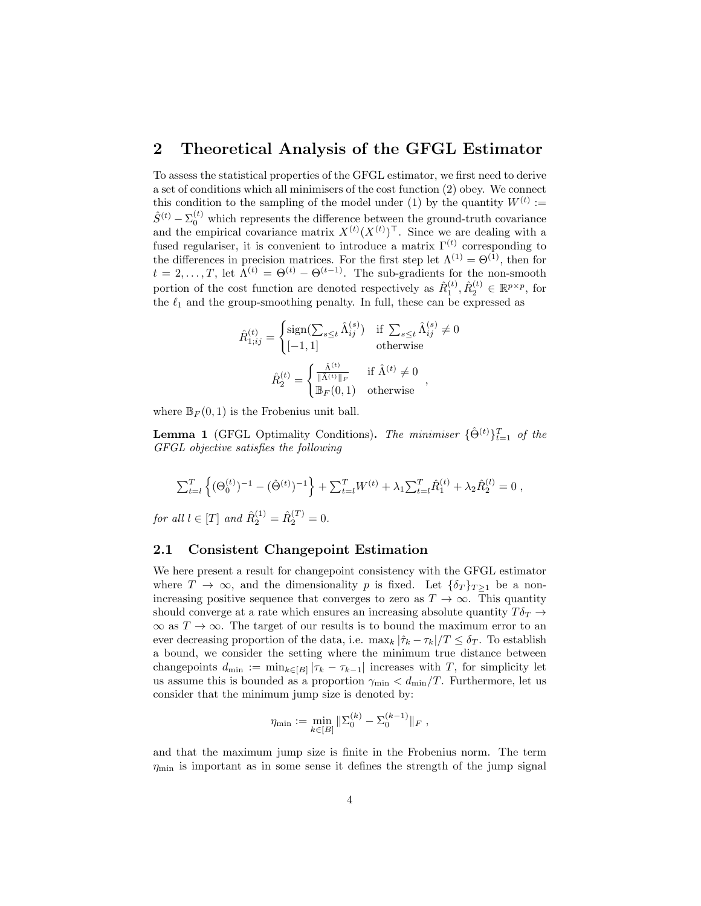# 2 Theoretical Analysis of the GFGL Estimator

To assess the statistical properties of the GFGL estimator, we first need to derive a set of conditions which all minimisers of the cost function (2) obey. We connect this condition to the sampling of the model under (1) by the quantity  $W^{(t)}$  :=  $\hat{S}^{(t)} - \Sigma_0^{(t)}$  which represents the difference between the ground-truth covariance and the empirical covariance matrix  $X^{(t)}(X^{(t)})^{\top}$ . Since we are dealing with a fused regulariser, it is convenient to introduce a matrix  $\Gamma^{(t)}$  corresponding to the differences in precision matrices. For the first step let  $\Lambda^{(1)} = \Theta^{(1)}$ , then for  $t = 2, \ldots, T$ , let  $\hat{\Lambda}^{(t)} = \Theta^{(t)} - \Theta^{(t-1)}$ . The sub-gradients for the non-smooth portion of the cost function are denoted respectively as  $\hat{R}_1^{(t)}$ ,  $\hat{R}_2^{(t)} \in \mathbb{R}^{p \times p}$ , for the  $\ell_1$  and the group-smoothing penalty. In full, these can be expressed as

$$
\label{eq:R1} \begin{aligned} \hat{R}_{1;ij}^{(t)} = \begin{cases} \mathrm{sign}(\sum_{s\leq t}\hat{\Lambda}_{ij}^{(s)}) & \text{if } \sum_{s\leq t}\hat{\Lambda}_{ij}^{(s)}\neq 0 \\ [-1,1] & \text{otherwise} \end{cases}\\ \hat{R}_{2}^{(t)} = \begin{cases} \frac{\hat{\Lambda}^{(t)}}{\|\hat{\Lambda}^{(t)}\|_F} & \text{if } \hat{\Lambda}^{(t)}\neq 0 \\ \mathbb{B}_F(0,1) & \text{otherwise} \end{cases} \end{aligned},
$$

where  $\mathbb{B}_F(0,1)$  is the Frobenius unit ball.

**Lemma 1** (GFGL Optimality Conditions). The minimiser  $\{\hat{\Theta}^{(t)}\}_{t=1}^T$  of the GFGL objective satisfies the following

$$
\sum_{t=l}^{T} \left\{ (\Theta_0^{(t)})^{-1} - (\hat{\Theta}^{(t)})^{-1} \right\} + \sum_{t=l}^{T} W^{(t)} + \lambda_1 \sum_{t=l}^{T} \hat{R}_1^{(t)} + \lambda_2 \hat{R}_2^{(l)} = 0 ,
$$

for all  $l \in [T]$  and  $\hat{R}_{2}^{(1)} = \hat{R}_{2}^{(T)} = 0$ .

### 2.1 Consistent Changepoint Estimation

We here present a result for changepoint consistency with the GFGL estimator where  $T \to \infty$ , and the dimensionality p is fixed. Let  $\{\delta_T\}_{T>1}$  be a nonincreasing positive sequence that converges to zero as  $T \to \infty$ . This quantity should converge at a rate which ensures an increasing absolute quantity  $T\delta_T \rightarrow$  $\infty$  as  $T \to \infty$ . The target of our results is to bound the maximum error to an ever decreasing proportion of the data, i.e.  $\max_k |\hat{\tau}_k - \tau_k|/T \leq \delta_T$ . To establish a bound, we consider the setting where the minimum true distance between changepoints  $d_{\min} := \min_{k \in [B]} |\tau_k - \tau_{k-1}|$  increases with T, for simplicity let us assume this is bounded as a proportion  $\gamma_{\rm min} < d_{\rm min}/T$ . Furthermore, let us consider that the minimum jump size is denoted by:

$$
\eta_{\min} := \min_{k \in [B]} \|\Sigma_0^{(k)} - \Sigma_0^{(k-1)}\|_F,
$$

and that the maximum jump size is finite in the Frobenius norm. The term  $\eta_{\text{min}}$  is important as in some sense it defines the strength of the jump signal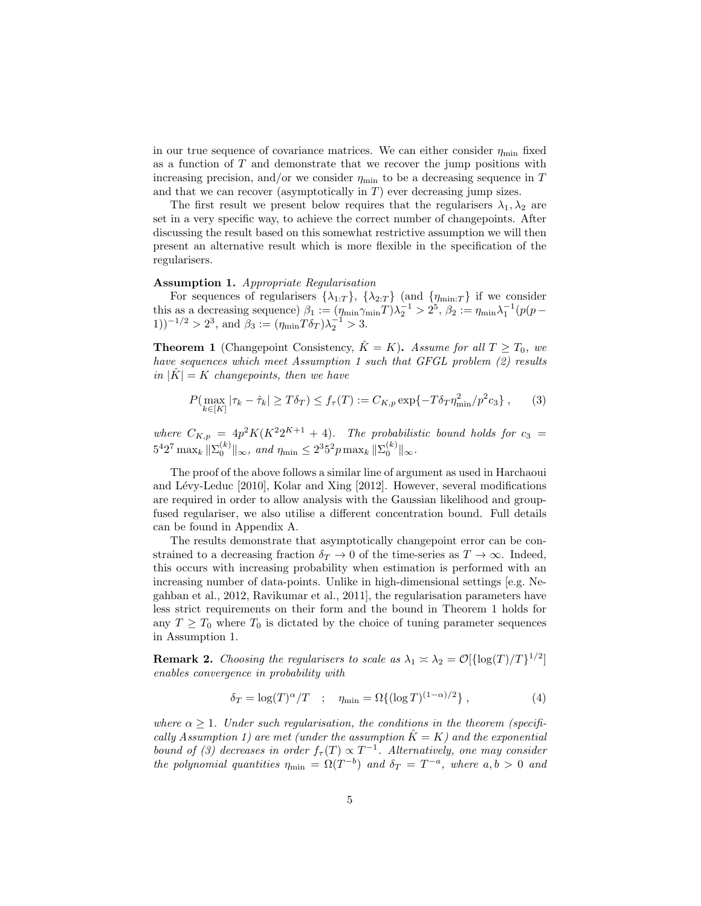in our true sequence of covariance matrices. We can either consider  $\eta_{\text{min}}$  fixed as a function of  $T$  and demonstrate that we recover the jump positions with increasing precision, and/or we consider  $\eta_{\text{min}}$  to be a decreasing sequence in T and that we can recover (asymptotically in  $T$ ) ever decreasing jump sizes.

The first result we present below requires that the regularisers  $\lambda_1, \lambda_2$  are set in a very specific way, to achieve the correct number of changepoints. After discussing the result based on this somewhat restrictive assumption we will then present an alternative result which is more flexible in the specification of the regularisers.

#### Assumption 1. Appropriate Regularisation

For sequences of regularisers  $\{\lambda_{1:T}\}, \{\lambda_{2:T}\}\$  (and  $\{\eta_{\min:T}\}\$  if we consider this as a decreasing sequence)  $\beta_1 := (\eta_{\min} \gamma_{\min} T) \lambda_2^{-1} > 2^5$ ,  $\beta_2 := \eta_{\min} \lambda_1^{-1} (p(p -$ 1))<sup>-1/2</sup> > 2<sup>3</sup>, and  $\beta_3 := (\eta_{\min} T \delta_T) \lambda_2^{-1} > 3$ .

**Theorem 1** (Changepoint Consistency,  $\hat{K} = K$ ). Assume for all  $T \geq T_0$ , we have sequences which meet Assumption 1 such that GFGL problem  $(2)$  results in  $|\tilde{K}| = K$  changepoints, then we have

$$
P(\max_{k \in [K]} |\tau_k - \hat{\tau}_k| \ge T\delta_T) \le f_\tau(T) := C_{K,p} \exp\{-T\delta_T \eta_{\min}^2 / p^2 c_3\},\qquad(3)
$$

where  $C_{K,p} = 4p^2 K(K^2 2^{K+1} + 4)$ . The probabilistic bound holds for  $c_3 =$  $5^4 2^7 \max_k ||\Sigma_0^{(k)}||_{\infty}$ , and  $\eta_{\min} \leq 2^3 5^2 p \max_k ||\Sigma_0^{(k)}||_{\infty}$ .

The proof of the above follows a similar line of argument as used in Harchaoui and Lévy-Leduc [2010], Kolar and Xing [2012]. However, several modifications are required in order to allow analysis with the Gaussian likelihood and groupfused regulariser, we also utilise a different concentration bound. Full details can be found in Appendix A.

The results demonstrate that asymptotically changepoint error can be constrained to a decreasing fraction  $\delta_T \to 0$  of the time-series as  $T \to \infty$ . Indeed, this occurs with increasing probability when estimation is performed with an increasing number of data-points. Unlike in high-dimensional settings [e.g. Negahban et al., 2012, Ravikumar et al., 2011], the regularisation parameters have less strict requirements on their form and the bound in Theorem 1 holds for any  $T \geq T_0$  where  $T_0$  is dictated by the choice of tuning parameter sequences in Assumption 1.

**Remark 2.** Choosing the regularisers to scale as  $\lambda_1 \times \lambda_2 = \mathcal{O}[\{\log(T)/T\}^{1/2}]$ enables convergence in probability with

$$
\delta_T = \log(T)^{\alpha}/T \quad ; \quad \eta_{\min} = \Omega\{(\log T)^{(1-\alpha)/2}\} \tag{4}
$$

where  $\alpha \geq 1$ . Under such regularisation, the conditions in the theorem (specifically Assumption 1) are met (under the assumption  $\ddot{K} = K$ ) and the exponential bound of (3) decreases in order  $f_{\tau}(T) \propto T^{-1}$ . Alternatively, one may consider the polynomial quantities  $\eta_{\min} = \Omega(T^{-b})$  and  $\delta_T = T^{-a}$ , where  $a, b > 0$  and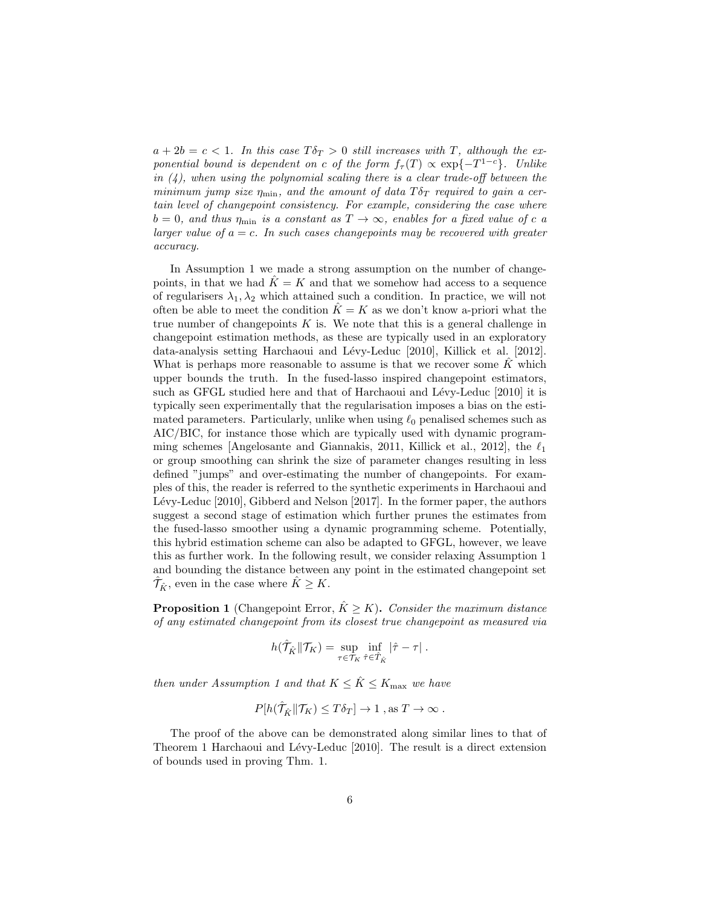$a + 2b = c < 1$ . In this case  $T\delta_T > 0$  still increases with T, although the exponential bound is dependent on c of the form  $f_\tau(T) \propto \exp\{-T^{1-c}\}\$ . Unlike in  $(4)$ , when using the polynomial scaling there is a clear trade-off between the minimum jump size  $\eta_{\min}$ , and the amount of data  $T\delta_T$  required to gain a certain level of changepoint consistency. For example, considering the case where  $b = 0$ , and thus  $\eta_{\text{min}}$  is a constant as  $T \to \infty$ , enables for a fixed value of c a larger value of  $a = c$ . In such cases changepoints may be recovered with greater accuracy.

In Assumption 1 we made a strong assumption on the number of changepoints, in that we had  $\ddot{K} = K$  and that we somehow had access to a sequence of regularisers  $\lambda_1, \lambda_2$  which attained such a condition. In practice, we will not often be able to meet the condition  $K = K$  as we don't know a-priori what the true number of changepoints  $K$  is. We note that this is a general challenge in changepoint estimation methods, as these are typically used in an exploratory data-analysis setting Harchaoui and Lévy-Leduc [2010], Killick et al. [2012]. What is perhaps more reasonable to assume is that we recover some  $K$  which upper bounds the truth. In the fused-lasso inspired changepoint estimators, such as GFGL studied here and that of Harchaoui and Lévy-Leduc [2010] it is typically seen experimentally that the regularisation imposes a bias on the estimated parameters. Particularly, unlike when using  $\ell_0$  penalised schemes such as AIC/BIC, for instance those which are typically used with dynamic programming schemes [Angelosante and Giannakis, 2011, Killick et al., 2012], the  $\ell_1$ or group smoothing can shrink the size of parameter changes resulting in less defined "jumps" and over-estimating the number of changepoints. For examples of this, the reader is referred to the synthetic experiments in Harchaoui and Lévy-Leduc [2010], Gibberd and Nelson [2017]. In the former paper, the authors suggest a second stage of estimation which further prunes the estimates from the fused-lasso smoother using a dynamic programming scheme. Potentially, this hybrid estimation scheme can also be adapted to GFGL, however, we leave this as further work. In the following result, we consider relaxing Assumption 1 and bounding the distance between any point in the estimated changepoint set  $\hat{\mathcal{T}}_{\hat{K}}$ , even in the case where  $\hat{K} \geq K$ .

**Proposition 1** (Changepoint Error,  $\hat{K} \geq K$ ). Consider the maximum distance of any estimated changepoint from its closest true changepoint as measured via

$$
h(\hat{\mathcal{T}}_{\hat{K}} \| \mathcal{T}_K) = \sup_{\tau \in \mathcal{T}_K} \inf_{\hat{\tau} \in \hat{\mathcal{T}}_{\hat{K}}} |\hat{\tau} - \tau|.
$$

then under Assumption 1 and that  $K \leq \hat{K} \leq K_{\text{max}}$  we have

$$
P[h(\hat{\mathcal{T}}_{\hat{K}} \| \mathcal{T}_K) \le T\delta_T] \to 1 \text{ , as } T \to \infty .
$$

The proof of the above can be demonstrated along similar lines to that of Theorem 1 Harchaoui and Lévy-Leduc [2010]. The result is a direct extension of bounds used in proving Thm. 1.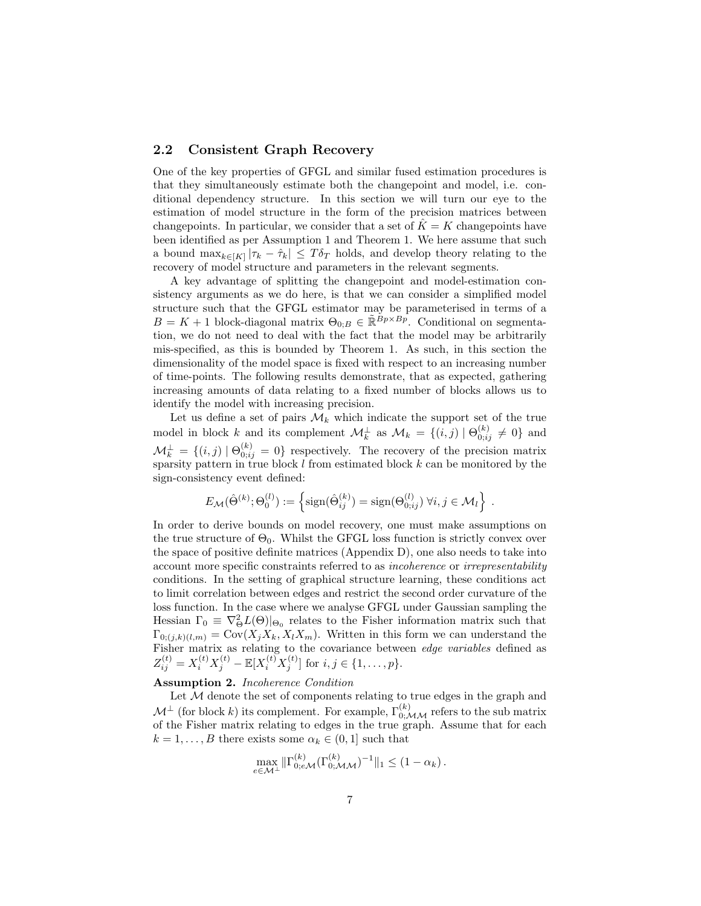### 2.2 Consistent Graph Recovery

One of the key properties of GFGL and similar fused estimation procedures is that they simultaneously estimate both the changepoint and model, i.e. conditional dependency structure. In this section we will turn our eye to the estimation of model structure in the form of the precision matrices between changepoints. In particular, we consider that a set of  $\tilde{K} = K$  changepoints have been identified as per Assumption 1 and Theorem 1. We here assume that such a bound  $\max_{k \in [K]} |\tau_k - \hat{\tau}_k| \leq T \delta_T$  holds, and develop theory relating to the recovery of model structure and parameters in the relevant segments.

A key advantage of splitting the changepoint and model-estimation consistency arguments as we do here, is that we can consider a simplified model structure such that the GFGL estimator may be parameterised in terms of a  $B = K + 1$  block-diagonal matrix  $\Theta_{0:B} \in \mathbb{R}^{B_p \times B_p}$ . Conditional on segmentation, we do not need to deal with the fact that the model may be arbitrarily mis-specified, as this is bounded by Theorem 1. As such, in this section the dimensionality of the model space is fixed with respect to an increasing number of time-points. The following results demonstrate, that as expected, gathering increasing amounts of data relating to a fixed number of blocks allows us to identify the model with increasing precision.

Let us define a set of pairs  $\mathcal{M}_k$  which indicate the support set of the true model in block k and its complement  $\mathcal{M}_k^{\perp}$  as  $\mathcal{M}_k = \{(i,j) | \Theta_{0;ij}^{(k)} \neq 0\}$  and  $\mathcal{M}_k^{\perp} = \{(i,j) | \Theta_{0;ij}^{(k)} = 0\}$  respectively. The recovery of the precision matrix sparsity pattern in true block  $l$  from estimated block  $k$  can be monitored by the sign-consistency event defined:

$$
E_{\mathcal{M}}(\hat{\Theta}^{(k)};\Theta_0^{(l)}) := \left\{ \text{sign}(\hat{\Theta}_{ij}^{(k)}) = \text{sign}(\Theta_{0;ij}^{(l)}) \ \forall i,j \in \mathcal{M}_l \right\} \ .
$$

In order to derive bounds on model recovery, one must make assumptions on the true structure of  $\Theta_0$ . Whilst the GFGL loss function is strictly convex over the space of positive definite matrices (Appendix D), one also needs to take into account more specific constraints referred to as incoherence or irrepresentability conditions. In the setting of graphical structure learning, these conditions act to limit correlation between edges and restrict the second order curvature of the loss function. In the case where we analyse GFGL under Gaussian sampling the Hessian  $\Gamma_0 \equiv \nabla_{\Theta}^2 L(\Theta)|_{\Theta_0}$  relates to the Fisher information matrix such that  $\Gamma_{0;(j,k)(l,m)} = \text{Cov}(X_j X_k, X_l X_m)$ . Written in this form we can understand the Fisher matrix as relating to the covariance between *edge variables* defined as  $Z_{ij}^{(t)} = X_i^{(t)} X_j^{(t)} - \mathbb{E}[X_i^{(t)} X_j^{(t)}]$  for  $i, j \in \{1, ..., p\}$ .

### Assumption 2. Incoherence Condition

Let  $M$  denote the set of components relating to true edges in the graph and  $\mathcal{M}^{\perp}$  (for block k) its complement. For example,  $\Gamma_{0;\mathcal{MM}}^{(k)}$  refers to the sub matrix of the Fisher matrix relating to edges in the true graph. Assume that for each  $k = 1, \ldots, B$  there exists some  $\alpha_k \in (0, 1]$  such that

$$
\max_{e \in \mathcal{M}^{\perp}} \|\Gamma_{0; e \mathcal{M}}^{(k)}(\Gamma_{0; \mathcal{M} \mathcal{M}}^{(k)})^{-1}\|_{1} \leq (1 - \alpha_{k}).
$$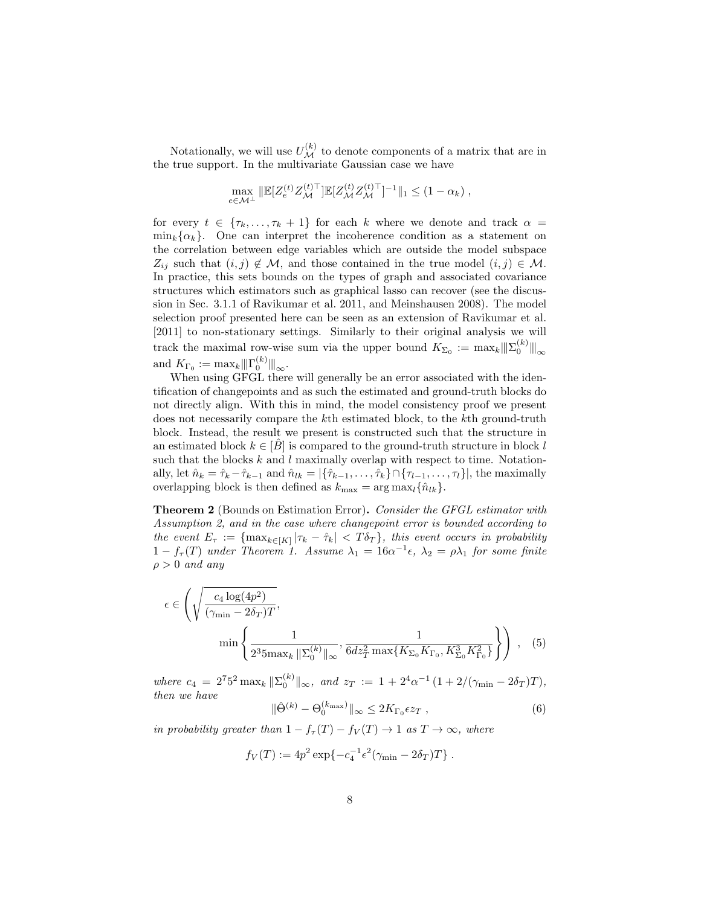Notationally, we will use  $U_{\mathcal{M}}^{(k)}$  to denote components of a matrix that are in the true support. In the multivariate Gaussian case we have

$$
\max_{e \in \mathcal{M}^{\perp}} \|\mathbb{E}[Z_e^{(t)} Z_{\mathcal{M}}^{(t)}]\mathbb{E}[Z_{\mathcal{M}}^{(t)} Z_{\mathcal{M}}^{(t)}]^{-1}\|_1 \leq (1 - \alpha_k),
$$

for every  $t \in {\tau_k, \ldots, \tau_k + 1}$  for each k where we denote and track  $\alpha =$  $\min_k {\alpha_k}$ . One can interpret the incoherence condition as a statement on the correlation between edge variables which are outside the model subspace  $Z_{ij}$  such that  $(i, j) \notin \mathcal{M}$ , and those contained in the true model  $(i, j) \in \mathcal{M}$ . In practice, this sets bounds on the types of graph and associated covariance structures which estimators such as graphical lasso can recover (see the discussion in Sec. 3.1.1 of Ravikumar et al. 2011, and Meinshausen 2008). The model selection proof presented here can be seen as an extension of Ravikumar et al. [2011] to non-stationary settings. Similarly to their original analysis we will track the maximal row-wise sum via the upper bound  $K_{\Sigma_0} := \max_k ||\|_{\infty}^{(k)} ||_{\infty}$ and  $K_{\Gamma_0} := \max_k ||\|Gamma_0^{(k)}|||_{\infty}$ .

When using GFGL there will generally be an error associated with the identification of changepoints and as such the estimated and ground-truth blocks do not directly align. With this in mind, the model consistency proof we present does not necessarily compare the kth estimated block, to the kth ground-truth block. Instead, the result we present is constructed such that the structure in an estimated block  $k \in [\hat{B}]$  is compared to the ground-truth structure in block l such that the blocks  $k$  and  $l$  maximally overlap with respect to time. Notationally, let  $\hat{n}_k = \hat{\tau}_k - \hat{\tau}_{k-1}$  and  $\hat{n}_{lk} = |\{\hat{\tau}_{k-1}, \dots, \hat{\tau}_k\} \cap \{\tau_{l-1}, \dots, \tau_l\}|$ , the maximally overlapping block is then defined as  $k_{\text{max}} = \arg \max_{l} {\hat{n}_{lk}}$ .

**Theorem 2** (Bounds on Estimation Error). Consider the GFGL estimator with Assumption 2, and in the case where changepoint error is bounded according to the event  $E_{\tau} := \{\max_{k \in [K]} |\tau_k - \hat{\tau}_k| < T \delta_T \}$ , this event occurs in probability  $1 - f_{\tau}(T)$  under Theorem 1. Assume  $\lambda_1 = 16\alpha^{-1}\epsilon$ ,  $\lambda_2 = \rho\lambda_1$  for some finite  $\rho > 0$  and any

$$
\epsilon \in \left( \sqrt{\frac{c_4 \log(4p^2)}{(\gamma_{\min} - 2\delta_T)T}}, \min\left\{ \frac{1}{2^3 5 \max_k \|\Sigma_0^{(k)}\|_{\infty}}, \frac{1}{6dz_T^2 \max\{K_{\Sigma_0} K_{\Gamma_0}, K_{\Sigma_0}^3 K_{\Gamma_0}^2\}} \right\} \right),
$$
(5)

where  $c_4 = 2^7 5^2 \max_k ||\Sigma_0^{(k)}||_{\infty}$ , and  $z_T := 1 + 2^4 \alpha^{-1} (1 + 2/(\gamma_{\min} - 2\delta_T)T)$ , then we have

$$
\|\hat{\Theta}^{(k)} - \Theta_0^{(k_{\text{max}})}\|_{\infty} \le 2K_{\Gamma_0} \epsilon z_T , \qquad (6)
$$

in probability greater than  $1 - f_{\tau}(T) - f_V(T) \rightarrow 1$  as  $T \rightarrow \infty$ , where

$$
f_V(T) := 4p^2 \exp\{-c_4^{-1} \epsilon^2 (\gamma_{\min} - 2\delta_T)T\}.
$$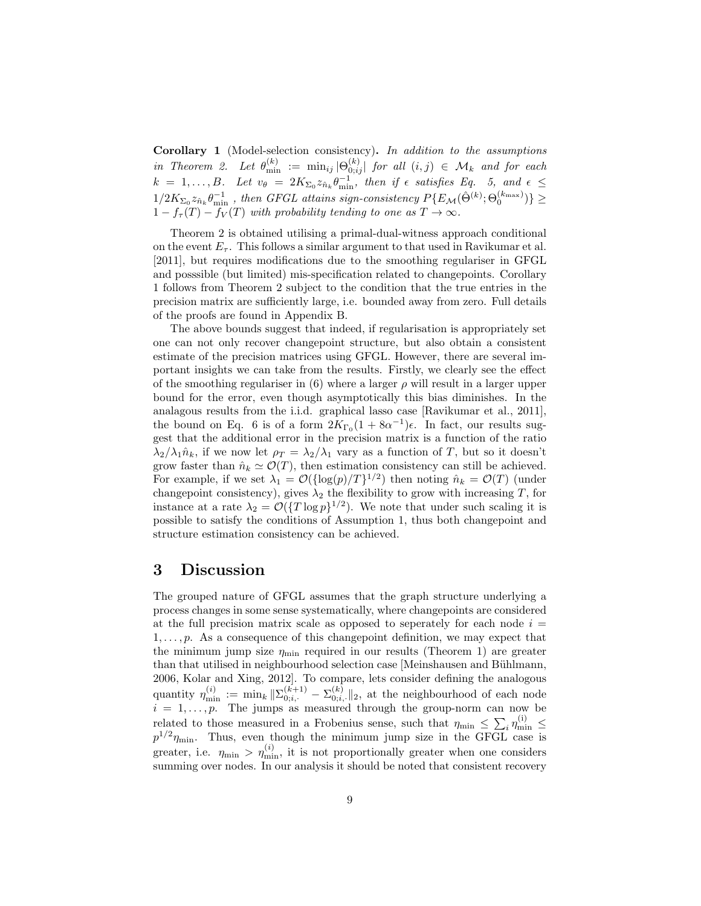Corollary 1 (Model-selection consistency). In addition to the assumptions in Theorem 2. Let  $\theta_{\min}^{(k)} := \min_{ij} |\Theta_{0;ij}^{(k)}|$  for all  $(i, j) \in \mathcal{M}_k$  and for each  $k = 1, \ldots, B$ . Let  $v_{\theta} = 2K_{\Sigma_0} z_{\hat{n}_k} \theta_{\min}^{-1}$ , then if  $\epsilon$  satisfies Eq. 5, and  $\epsilon \leq$  $1/2K_{\Sigma_0}z_{\hat{n}_k}\theta_{\min}^{-1}$ , then GFGL attains sign-consistency  $P\{E_{\mathcal{M}}(\hat{\Theta}^{(k)};\Theta_0^{(k_{\max})})\}\geq$  $1 - f_{\tau}(T) - f_{V}(T)$  with probability tending to one as  $T \to \infty$ .

Theorem 2 is obtained utilising a primal-dual-witness approach conditional on the event  $E_{\tau}$ . This follows a similar argument to that used in Ravikumar et al. [2011], but requires modifications due to the smoothing regulariser in GFGL and posssible (but limited) mis-specification related to changepoints. Corollary 1 follows from Theorem 2 subject to the condition that the true entries in the precision matrix are sufficiently large, i.e. bounded away from zero. Full details of the proofs are found in Appendix B.

The above bounds suggest that indeed, if regularisation is appropriately set one can not only recover changepoint structure, but also obtain a consistent estimate of the precision matrices using GFGL. However, there are several important insights we can take from the results. Firstly, we clearly see the effect of the smoothing regulariser in (6) where a larger  $\rho$  will result in a larger upper bound for the error, even though asymptotically this bias diminishes. In the analagous results from the i.i.d. graphical lasso case [Ravikumar et al., 2011], the bound on Eq. 6 is of a form  $2K_{\Gamma_0}(1+8\alpha^{-1})\epsilon$ . In fact, our results suggest that the additional error in the precision matrix is a function of the ratio  $\lambda_2/\lambda_1\hat{n}_k$ , if we now let  $\rho_T = \lambda_2/\lambda_1$  vary as a function of T, but so it doesn't grow faster than  $\hat{n}_k \simeq \mathcal{O}(T)$ , then estimation consistency can still be achieved. For example, if we set  $\lambda_1 = \mathcal{O}(\{\log(p)/T\}^{1/2})$  then noting  $\hat{n}_k = \mathcal{O}(T)$  (under changepoint consistency), gives  $\lambda_2$  the flexibility to grow with increasing T, for instance at a rate  $\lambda_2 = \mathcal{O}(\{T \log p\}^{1/2})$ . We note that under such scaling it is possible to satisfy the conditions of Assumption 1, thus both changepoint and structure estimation consistency can be achieved.

# 3 Discussion

The grouped nature of GFGL assumes that the graph structure underlying a process changes in some sense systematically, where changepoints are considered at the full precision matrix scale as opposed to seperately for each node  $i =$  $1, \ldots, p$ . As a consequence of this changepoint definition, we may expect that the minimum jump size  $\eta_{\text{min}}$  required in our results (Theorem 1) are greater than that utilised in neighbourhood selection case [Meinshausen and Bühlmann, 2006, Kolar and Xing, 2012]. To compare, lets consider defining the analogous quantity  $\eta_{\min}^{(i)} := \min_k \|\Sigma_{0;i,\cdot}^{(k+1)} - \Sigma_{0;i,\cdot}^{(k)}\|_2$ , at the neighbourhood of each node  $i = 1, \ldots, p$ . The jumps as measured through the group-norm can now be related to those measured in a Frobenius sense, such that  $\eta_{\min} \leq \sum_i \eta_{\min}^{(i)} \leq$  $p^{1/2}\eta_{\min}$ . Thus, even though the minimum jump size in the GFGL case is greater, i.e.  $\eta_{\min} > \eta_{\min}^{(i)}$ , it is not proportionally greater when one considers summing over nodes. In our analysis it should be noted that consistent recovery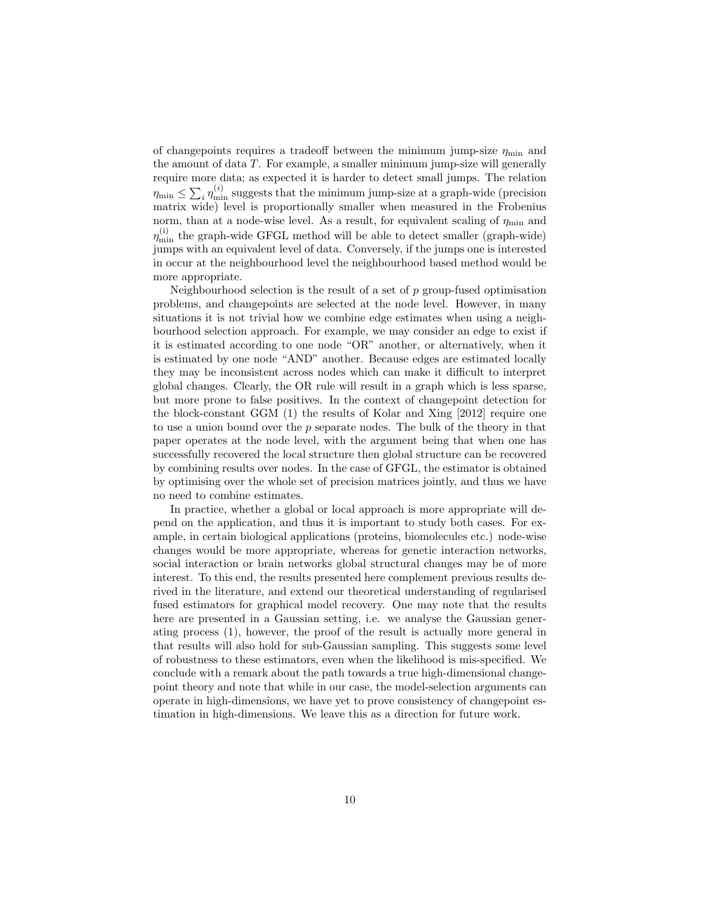of changepoints requires a tradeoff between the minimum jump-size  $\eta_{\min}$  and the amount of data T. For example, a smaller minimum jump-size will generally require more data; as expected it is harder to detect small jumps. The relation  $\eta_{\min} \leq \sum_i \eta_{\min}^{(i)}$  suggests that the minimum jump-size at a graph-wide (precision matrix wide) level is proportionally smaller when measured in the Frobenius norm, than at a node-wise level. As a result, for equivalent scaling of  $\eta_{\min}$  and  $\eta_\text{min}^{(\text{i})}$  the graph-wide GFGL method will be able to detect smaller (graph-wide) jumps with an equivalent level of data. Conversely, if the jumps one is interested in occur at the neighbourhood level the neighbourhood based method would be more appropriate.

Neighbourhood selection is the result of a set of  $p$  group-fused optimisation problems, and changepoints are selected at the node level. However, in many situations it is not trivial how we combine edge estimates when using a neighbourhood selection approach. For example, we may consider an edge to exist if it is estimated according to one node "OR" another, or alternatively, when it is estimated by one node "AND" another. Because edges are estimated locally they may be inconsistent across nodes which can make it difficult to interpret global changes. Clearly, the OR rule will result in a graph which is less sparse, but more prone to false positives. In the context of changepoint detection for the block-constant GGM (1) the results of Kolar and Xing [2012] require one to use a union bound over the p separate nodes. The bulk of the theory in that paper operates at the node level, with the argument being that when one has successfully recovered the local structure then global structure can be recovered by combining results over nodes. In the case of GFGL, the estimator is obtained by optimising over the whole set of precision matrices jointly, and thus we have no need to combine estimates.

In practice, whether a global or local approach is more appropriate will depend on the application, and thus it is important to study both cases. For example, in certain biological applications (proteins, biomolecules etc.) node-wise changes would be more appropriate, whereas for genetic interaction networks, social interaction or brain networks global structural changes may be of more interest. To this end, the results presented here complement previous results derived in the literature, and extend our theoretical understanding of regularised fused estimators for graphical model recovery. One may note that the results here are presented in a Gaussian setting, i.e. we analyse the Gaussian generating process (1), however, the proof of the result is actually more general in that results will also hold for sub-Gaussian sampling. This suggests some level of robustness to these estimators, even when the likelihood is mis-specified. We conclude with a remark about the path towards a true high-dimensional changepoint theory and note that while in our case, the model-selection arguments can operate in high-dimensions, we have yet to prove consistency of changepoint estimation in high-dimensions. We leave this as a direction for future work.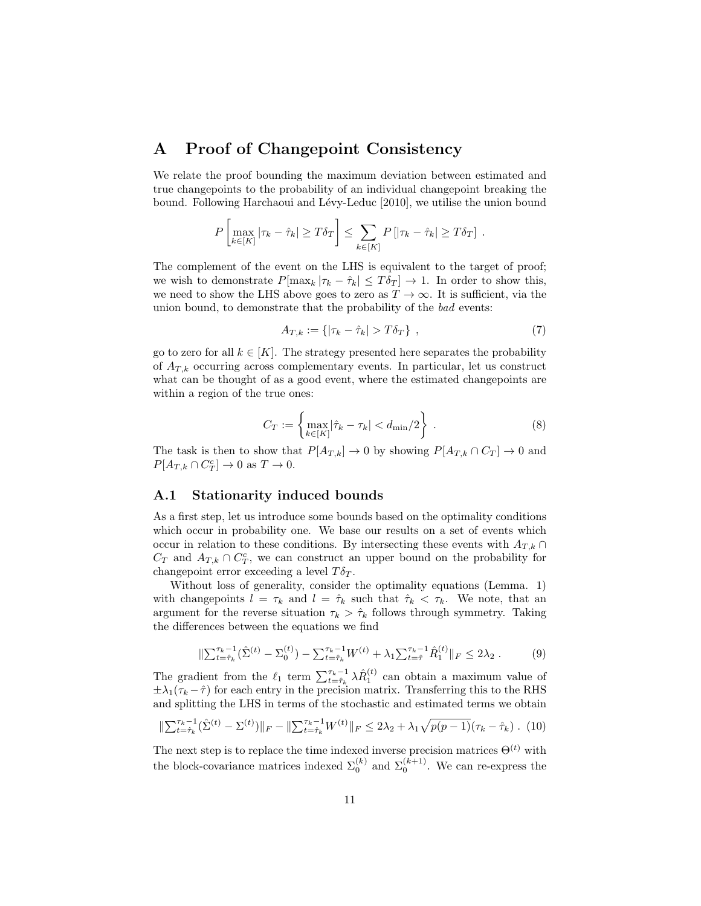# A Proof of Changepoint Consistency

We relate the proof bounding the maximum deviation between estimated and true changepoints to the probability of an individual changepoint breaking the bound. Following Harchaoui and Lévy-Leduc [2010], we utilise the union bound

$$
P\left[\max_{k\in[K]}|\tau_k-\hat{\tau}_k|\geq T\delta_T\right]\leq \sum_{k\in[K]}P\left[|\tau_k-\hat{\tau}_k|\geq T\delta_T\right].
$$

The complement of the event on the LHS is equivalent to the target of proof; we wish to demonstrate  $P[\max_k |\tau_k - \hat{\tau}_k| \leq T \delta_T] \to 1$ . In order to show this, we need to show the LHS above goes to zero as  $T \to \infty$ . It is sufficient, via the union bound, to demonstrate that the probability of the bad events:

$$
A_{T,k} := \{ |\tau_k - \hat{\tau}_k| > T \delta_T \}, \qquad (7)
$$

go to zero for all  $k \in [K]$ . The strategy presented here separates the probability of  $A_{T,k}$  occurring across complementary events. In particular, let us construct what can be thought of as a good event, where the estimated changepoints are within a region of the true ones:

$$
C_T := \left\{ \max_{k \in [K]} |\hat{\tau}_k - \tau_k| < d_{\min}/2 \right\} \,. \tag{8}
$$

The task is then to show that  $P[A_{T,k}] \to 0$  by showing  $P[A_{T,k} \cap C_T] \to 0$  and  $P[A_{T,k} \cap C_T^c] \to 0 \text{ as } T \to 0.$ 

### A.1 Stationarity induced bounds

As a first step, let us introduce some bounds based on the optimality conditions which occur in probability one. We base our results on a set of events which occur in relation to these conditions. By intersecting these events with  $A_{T,k} \cap$  $C_T$  and  $A_{T,k} \cap C_T^c$ , we can construct an upper bound on the probability for changepoint error exceeding a level  $T\delta_T$ .

Without loss of generality, consider the optimality equations (Lemma. 1) with changepoints  $l = \tau_k$  and  $l = \hat{\tau}_k$  such that  $\hat{\tau}_k < \tau_k$ . We note, that an argument for the reverse situation  $\tau_k > \hat{\tau}_k$  follows through symmetry. Taking the differences between the equations we find

$$
\|\sum_{t=\hat{\tau}_k}^{\tau_k-1} (\hat{\Sigma}^{(t)} - \Sigma_0^{(t)}) - \sum_{t=\hat{\tau}_k}^{\tau_k-1} W^{(t)} + \lambda_1 \sum_{t=\hat{\tau}}^{\tau_k-1} \hat{R}_1^{(t)} \|_F \le 2\lambda_2.
$$
 (9)

The gradient from the  $\ell_1$  term  $\sum_{t=\hat{\tau}_k}^{\tau_k-1} \lambda \hat{R}_1^{(t)}$  can obtain a maximum value of  $\pm\lambda_1(\tau_k-\hat{\tau})$  for each entry in the precision matrix. Transferring this to the RHS and splitting the LHS in terms of the stochastic and estimated terms we obtain

$$
\|\sum_{t=\hat{\tau}_k}^{\tau_k-1} (\hat{\Sigma}^{(t)} - \Sigma^{(t)})\|_F - \|\sum_{t=\hat{\tau}_k}^{\tau_k-1} W^{(t)}\|_F \le 2\lambda_2 + \lambda_1 \sqrt{p(p-1)}(\tau_k - \hat{\tau}_k) \tag{10}
$$

The next step is to replace the time indexed inverse precision matrices  $\Theta^{(t)}$  with the block-covariance matrices indexed  $\Sigma_0^{(k)}$  and  $\Sigma_0^{(k+1)}$ . We can re-express the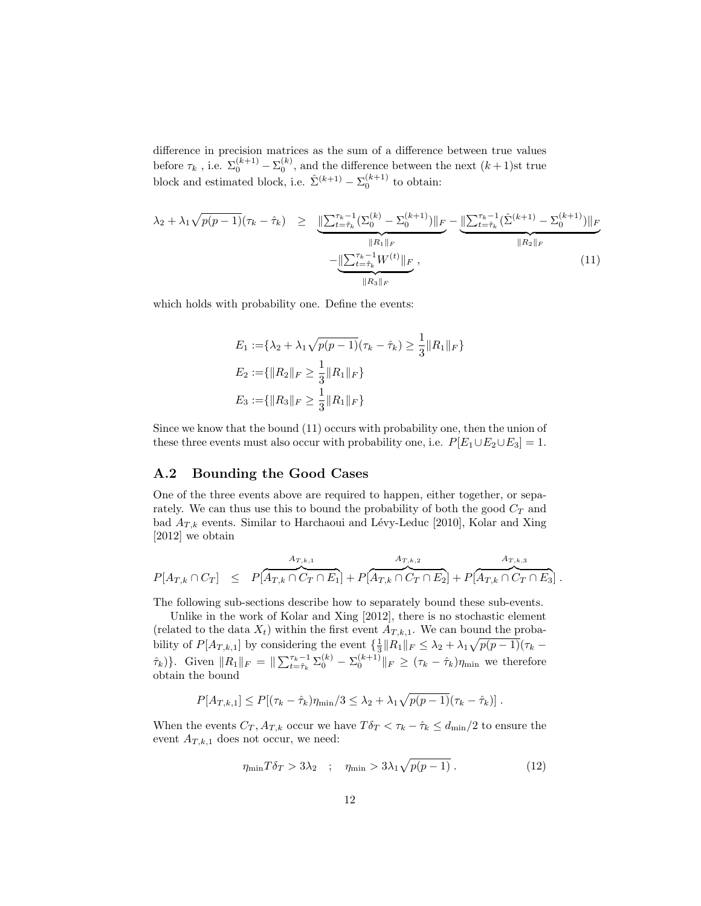difference in precision matrices as the sum of a difference between true values before  $\tau_k$ , i.e.  $\Sigma_0^{(k+1)} - \Sigma_0^{(k)}$ , and the difference between the next  $(k+1)$ st true block and estimated block, i.e.  $\hat{\Sigma}^{(k+1)} - \Sigma_0^{(k+1)}$  to obtain:

$$
\lambda_2 + \lambda_1 \sqrt{p(p-1)} (\tau_k - \hat{\tau}_k) \ge \underbrace{\|\sum_{t=\hat{\tau}_k}^{\tau_k-1} (\sum_{0}^{(k)} - \sum_{0}^{(k+1)})\|_F}_{\|R_1\|_F} - \underbrace{\|\sum_{t=\hat{\tau}_k}^{\tau_k-1} (\hat{\sum}_{t=\hat{\tau}_k}^{(k+1)} - \sum_{0}^{(k+1)})\|_F}_{\|R_2\|_F}
$$
\n
$$
- \underbrace{\|\sum_{t=\hat{\tau}_k}^{\tau_k-1} W^{(t)}\|_F}_{\|R_3\|_F}, \tag{11}
$$

which holds with probability one. Define the events:

$$
E_1 := \{ \lambda_2 + \lambda_1 \sqrt{p(p-1)} (\tau_k - \hat{\tau}_k) \ge \frac{1}{3} ||R_1||_F \}
$$
  
\n
$$
E_2 := \{ ||R_2||_F \ge \frac{1}{3} ||R_1||_F \}
$$
  
\n
$$
E_3 := \{ ||R_3||_F \ge \frac{1}{3} ||R_1||_F \}
$$

Since we know that the bound (11) occurs with probability one, then the union of these three events must also occur with probability one, i.e.  $P[E_1 \cup E_2 \cup E_3] = 1$ .

### A.2 Bounding the Good Cases

One of the three events above are required to happen, either together, or separately. We can thus use this to bound the probability of both the good  $C_T$  and bad  $A_{T,k}$  events. Similar to Harchaoui and Lévy-Leduc [2010], Kolar and Xing [2012] we obtain

$$
P[A_{T,k} \cap C_T] \leq P[A_{T,k} \cap C_T \cap E_1] + P[A_{T,k} \cap C_T \cap E_2] + P[A_{T,k} \cap C_T \cap E_3].
$$

The following sub-sections describe how to separately bound these sub-events.

Unlike in the work of Kolar and Xing [2012], there is no stochastic element (related to the data  $X_t$ ) within the first event  $A_{T,k,1}$ . We can bound the probability of  $P[A_{T,k,1}]$  by considering the event  $\{\frac{1}{3}||R_1||_F \leq \lambda_2 + \lambda_1 \sqrt{p(p-1)}(\tau_k (\hat{\tau}_k)$ . Given  $||R_1||_F = ||\sum_{t=\hat{\tau}_k}^{\tau_k-1} \Sigma_0^{(k)} - \Sigma_0^{(k+1)}||_F \geq (\tau_k - \hat{\tau}_k)\eta_{\min}$  we therefore obtain the bound

$$
P[A_{T,k,1}] \leq P[(\tau_k - \hat{\tau}_k)\eta_{\min}/3 \leq \lambda_2 + \lambda_1 \sqrt{p(p-1)}(\tau_k - \hat{\tau}_k)].
$$

When the events  $C_T$ ,  $A_{T,k}$  occur we have  $T\delta_T < \tau_k - \hat{\tau}_k \leq d_{\min}/2$  to ensure the event  $A_{T,k,1}$  does not occur, we need:

$$
\eta_{\min} T \delta_T > 3\lambda_2 \quad ; \quad \eta_{\min} > 3\lambda_1 \sqrt{p(p-1)} \,. \tag{12}
$$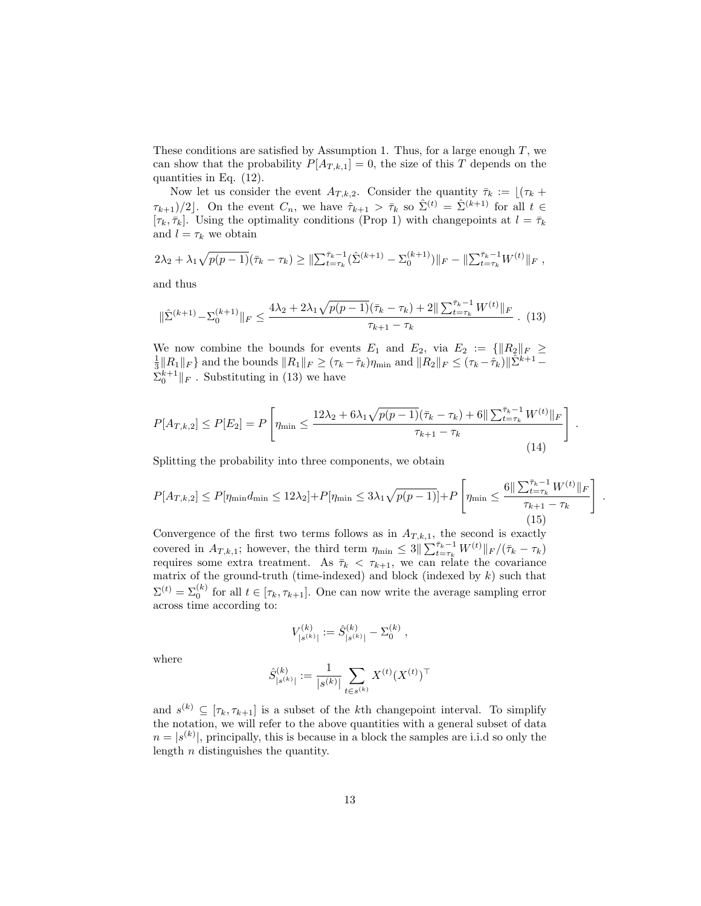These conditions are satisfied by Assumption 1. Thus, for a large enough  $T$ , we can show that the probability  $P[A_{T,k,1}] = 0$ , the size of this T depends on the quantities in Eq. (12).

Now let us consider the event  $A_{T,k,2}$ . Consider the quantity  $\bar{\tau}_k := [(\tau_k +$  $\tau_{k+1}/2$ . On the event  $C_n$ , we have  $\hat{\tau}_{k+1} > \bar{\tau}_k$  so  $\hat{\Sigma}^{(t)} = \hat{\Sigma}^{(k+1)}$  for all  $t \in$  $[\tau_k, \bar{\tau}_k]$ . Using the optimality conditions (Prop 1) with changepoints at  $l = \bar{\tau}_k$ and  $l = \tau_k$  we obtain

$$
2\lambda_2 + \lambda_1 \sqrt{p(p-1)}(\bar{\tau}_k - \tau_k) \geq \|\sum_{t=\tau_k}^{\bar{\tau}_k-1} (\hat{\Sigma}^{(k+1)} - \Sigma_0^{(k+1)})\|_F - \|\sum_{t=\tau_k}^{\bar{\tau}_k-1} W^{(t)}\|_F,
$$

and thus

$$
\|\hat{\Sigma}^{(k+1)} - \Sigma_0^{(k+1)}\|_F \le \frac{4\lambda_2 + 2\lambda_1\sqrt{p(p-1)}(\bar{\tau}_k - \tau_k) + 2\|\sum_{t=\tau_k}^{\bar{\tau}_k - 1} W^{(t)}\|_F}{\tau_{k+1} - \tau_k} \tag{13}
$$

We now combine the bounds for events  $E_1$  and  $E_2$ , via  $E_2 := {\|R_2\|_F \ge \frac{1}{3} \|R_1\|_F}$  and the bounds  $\|R_1\|_F \ge (\tau_k - \hat{\tau}_k)\eta_{\min}$  and  $\|R_2\|_F \le (\tau_k - \hat{\tau}_k) \|\hat{\Sigma}^{k+1} - \hat{\tau}_k\|_F$  $\sum_{0}^{k+1} \| F$ . Substituting in (13) we have

$$
P[A_{T,k,2}] \le P[E_2] = P\left[\eta_{\min} \le \frac{12\lambda_2 + 6\lambda_1\sqrt{p(p-1)}(\bar{\tau}_k - \tau_k) + 6\|\sum_{t=\tau_k}^{\bar{\tau}_k - 1} W^{(t)}\|_F}{\tau_{k+1} - \tau_k}\right]
$$
\n(14)

.

.

Splitting the probability into three components, we obtain

$$
P[A_{T,k,2}] \le P[\eta_{\min} d_{\min} \le 12\lambda_2] + P[\eta_{\min} \le 3\lambda_1 \sqrt{p(p-1)}] + P\left[\eta_{\min} \le \frac{6\|\sum_{t=\tau_k}^{\bar{\tau}_k - 1} W^{(t)}\|_F}{\tau_{k+1} - \tau_k}\right]
$$
(15)

Convergence of the first two terms follows as in  $A_{T,k,1}$ , the second is exactly covered in  $A_{T,k,1}$ ; however, the third term  $\eta_{\min} \leq 3 \|\sum_{t=\tau_k}^{\bar{\tau}_k-1} W^{(t)}\|_F / (\bar{\tau}_k - \tau_k)$ requires some extra treatment. As  $\bar{\tau}_k$   $\langle \tau_{k+1}$ , we can relate the covariance matrix of the ground-truth (time-indexed) and block (indexed by  $k$ ) such that  $\Sigma^{(t)} = \Sigma_0^{(k)}$  for all  $t \in [\tau_k, \tau_{k+1}]$ . One can now write the average sampling error across time according to:

$$
V_{|s^{(k)}|}^{(k)}:=\hat{S}^{(k)}_{|s^{(k)}|}-\Sigma_0^{(k)}\;,
$$

where

$$
\hat{S}^{(k)}_{|s^{(k)}|} := \frac{1}{|s^{(k)}|} \sum_{t \in s^{(k)}} X^{(t)} (X^{(t)})^\top
$$

and  $s^{(k)} \subseteq [\tau_k, \tau_{k+1}]$  is a subset of the kth changepoint interval. To simplify the notation, we will refer to the above quantities with a general subset of data  $n = |s^{(k)}|$ , principally, this is because in a block the samples are i.i.d so only the length n distinguishes the quantity.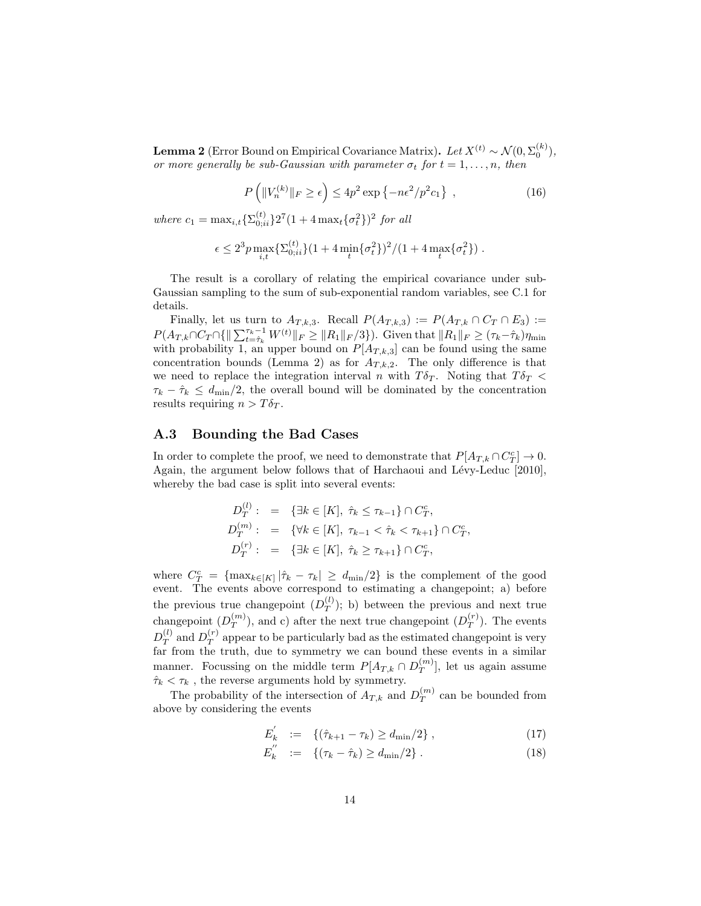**Lemma 2** (Error Bound on Empirical Covariance Matrix). Let  $X^{(t)} \sim \mathcal{N}(0, \Sigma_0^{(k)}),$ or more generally be sub-Gaussian with parameter  $\sigma_t$  for  $t = 1, \ldots, n$ , then

$$
P\left(\|V_n^{(k)}\|_F \ge \epsilon\right) \le 4p^2 \exp\left\{-n\epsilon^2/p^2 c_1\right\} ,\qquad(16)
$$

where  $c_1 = \max_{i,t} {\sum_{0;ii}^{(t)} 2^7 (1 + 4 \max_t {\{\sigma_t^2\}})^2}$  for all

$$
\epsilon \le 2^3 p \max_{i,t} \{ \Sigma_{0;ii}^{(t)} \} (1 + 4 \min_t \{ \sigma_t^2 \})^2 / (1 + 4 \max_t \{ \sigma_t^2 \}) .
$$

The result is a corollary of relating the empirical covariance under sub-Gaussian sampling to the sum of sub-exponential random variables, see C.1 for details.

Finally, let us turn to  $A_{T,k,3}$ . Recall  $P(A_{T,k,3}) := P(A_{T,k} \cap C_T \cap E_3) :=$  $P(A_{T,k} \cap C_T \cap {\{\|\sum_{t=\hat{\tau}_k}^{T_k-1} W^{(t)}\|_F \geq \|R_1\|_F / 3\}}).$  Given that  $\|R_1\|_F \geq (\tau_k - \hat{\tau}_k)\eta_{\min}$ with probability 1, an upper bound on  $P[A_{T,k,3}]$  can be found using the same concentration bounds (Lemma 2) as for  $A_{T,k,2}$ . The only difference is that we need to replace the integration interval n with  $T\delta_T$ . Noting that  $T\delta_T$  $\tau_k - \hat{\tau}_k \leq d_{\text{min}}/2$ , the overall bound will be dominated by the concentration results requiring  $n > T\delta_T$ .

### A.3 Bounding the Bad Cases

In order to complete the proof, we need to demonstrate that  $P[A_{T,k} \cap C_T^c] \to 0$ . Again, the argument below follows that of Harchaoui and Lévy-Leduc [2010], whereby the bad case is split into several events:

$$
D_T^{(l)}: = \{ \exists k \in [K], \ \hat{\tau}_k \le \tau_{k-1} \} \cap C_T^c,
$$
  
\n
$$
D_T^{(m)}: = \{ \forall k \in [K], \ \tau_{k-1} < \hat{\tau}_k < \tau_{k+1} \} \cap C_T^c,
$$
  
\n
$$
D_T^{(r)}: = \{ \exists k \in [K], \ \hat{\tau}_k \ge \tau_{k+1} \} \cap C_T^c,
$$

where  $C_T^c = {\max_{k \in [K]} |\hat{\tau}_k - \tau_k| \ge d_{\min}/2}$  is the complement of the good event. The events above correspond to estimating a changepoint; a) before the previous true changepoint  $(D_T^{(l)})$  $T^{(t)}(T)$ ; b) between the previous and next true changepoint  $(D_T^{(m)})$  $\binom{m}{T}$ , and c) after the next true changepoint  $(D_T^{(r)})$  $T^{(r)}$ ). The events  $D_T^{(l)}$  $T(T^{(l)}$  and  $D_T^{(r)}$  $T^{(r)}$  appear to be particularly bad as the estimated changepoint is very far from the truth, due to symmetry we can bound these events in a similar manner. Focussing on the middle term  $P[A_{T,k} \cap D_T^{(m)}]$  $\binom{m}{T}$ , let us again assume  $\hat{\tau}_k < \tau_k$ , the reverse arguments hold by symmetry.

The probability of the intersection of  $A_{T,k}$  and  $D_T^{(m)}$  $T^{(m)}$  can be bounded from above by considering the events

$$
E'_{k} := \{ (\hat{\tau}_{k+1} - \tau_{k}) \ge d_{\min}/2 \},
$$
\n(17)

$$
E_k^{\prime} := \{ (\tau_k - \hat{\tau}_k) \ge d_{\min}/2 \} . \tag{18}
$$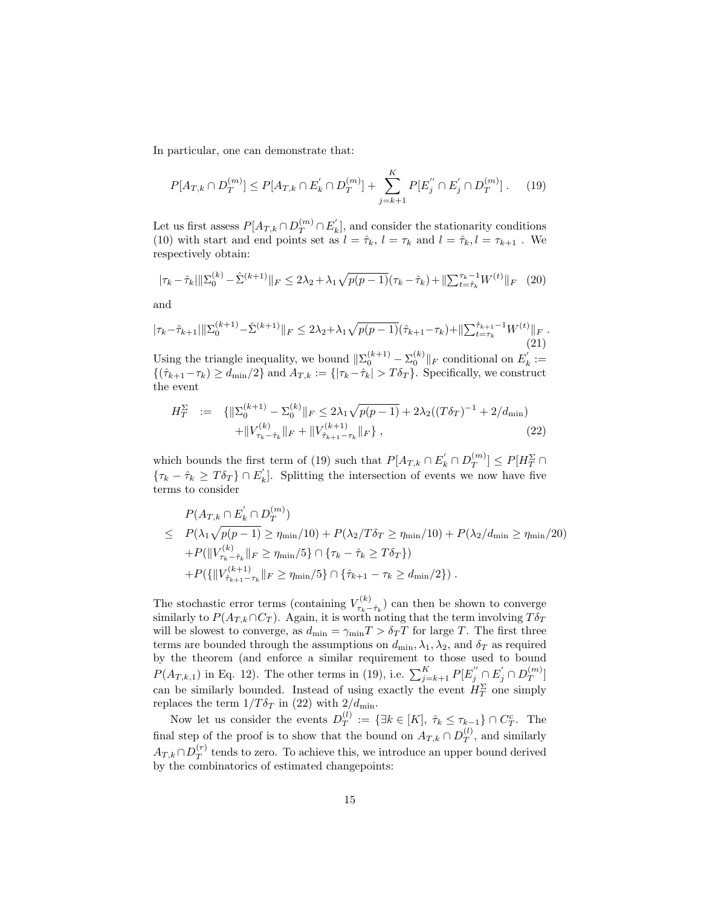In particular, one can demonstrate that:

$$
P[A_{T,k} \cap D_T^{(m)}] \le P[A_{T,k} \cap E_k^{'} \cap D_T^{(m)}] + \sum_{j=k+1}^{K} P[E_j^{''} \cap E_j^{'} \cap D_T^{(m)}]. \tag{19}
$$

Let us first assess  $P[A_{T,k} \cap D_T^{(m)} \cap E'_k]$ , and consider the stationarity conditions (10) with start and end points set as  $l = \hat{\tau}_k$ ,  $l = \tau_k$  and  $l = \hat{\tau}_k$ ,  $l = \tau_{k+1}$ . We respectively obtain:

$$
|\tau_k - \hat{\tau}_k| \|\Sigma_0^{(k)} - \hat{\Sigma}^{(k+1)}\|_F \le 2\lambda_2 + \lambda_1 \sqrt{p(p-1)}(\tau_k - \hat{\tau}_k) + \|\Sigma_{t=\hat{\tau}_k}^{\tau_k - 1} W^{(t)}\|_F \tag{20}
$$

and

$$
|\tau_{k} - \hat{\tau}_{k+1}| \|\Sigma_0^{(k+1)} - \hat{\Sigma}^{(k+1)}\|_F \le 2\lambda_2 + \lambda_1 \sqrt{p(p-1)}(\hat{\tau}_{k+1} - \tau_k) + \|\Sigma_{t=\tau_k}^{\hat{\tau}_{k+1}-1} W^{(t)}\|_F. \tag{21}
$$

Using the triangle inequality, we bound  $\|\Sigma_0^{(k+1)} - \Sigma_0^{(k)}\|_F$  conditional on  $E'_k :=$  $\{(\hat{\tau}_{k+1}-\tau_k)\geq d_{\min}/2\}$  and  $A_{T,k}:=\{|\tau_k-\hat{\tau}_k|>T\delta_T\}$ . Specifically, we construct the event

$$
H_T^{\Sigma} := \{ ||\Sigma_0^{(k+1)} - \Sigma_0^{(k)}||_F \le 2\lambda_1 \sqrt{p(p-1)} + 2\lambda_2 ((T\delta_T)^{-1} + 2/d_{\min}) + ||V_{\tau_k - \hat{\tau}_k}^{(k)}||_F + ||V_{\hat{\tau}_{k+1} - \tau_k}^{(k+1)}||_F \},
$$
\n(22)

which bounds the first term of (19) such that  $P[A_{T,k} \cap E'_k \cap D_T^{(m)}]$  $\left[T\right]^{(m)}\right]\leq P[H_{T}^{\Sigma}\cap$  $\{\tau_k - \hat{\tau}_k \geq T\delta_T\} \cap E'_k$ . Splitting the intersection of events we now have five terms to consider

$$
P(A_{T,k} \cap E'_k \cap D_T^{(m)})
$$
  
\n
$$
\leq P(\lambda_1 \sqrt{p(p-1)} \geq \eta_{\min}/10) + P(\lambda_2/T\delta_T \geq \eta_{\min}/10) + P(\lambda_2/d_{\min} \geq \eta_{\min}/20)
$$
  
\n
$$
+ P(||V_{\tau_k - \hat{\tau}_k}^{(k)}||_F \geq \eta_{\min}/5 \} \cap {\tau_k - \hat{\tau}_k \geq T\delta_T }
$$
  
\n
$$
+ P({||V_{\hat{\tau}_{k+1} - \tau_k}^{(k+1)}||_F \geq \eta_{\min}/5} \cap {\hat{\tau}_{k+1} - \tau_k \geq d_{\min}/2}).
$$

The stochastic error terms (containing  $V_{\tau_{k-}}^{(k)}$  $\tau_{\kappa-\hat{\tau}_k}^{(\kappa)}$  can then be shown to converge similarly to  $P(A_{T,k} \cap C_T)$ . Again, it is worth noting that the term involving  $T \delta_T$ will be slowest to converge, as  $d_{\min} = \gamma_{\min} T > \delta_T T$  for large T. The first three terms are bounded through the assumptions on  $d_{\min}, \lambda_1, \lambda_2$ , and  $\delta_T$  as required by the theorem (and enforce a similar requirement to those used to bound  $P(A_{T,k,1})$  in Eq. 12). The other terms in (19), i.e.  $\sum_{j=k+1}^{K} P[E''_j \cap E'_j \cap D_T^{(m)}$  $T^{(m)}$ ] can be similarly bounded. Instead of using exactly the event  $H_T^{\Sigma}$  one simply replaces the term  $1/T\delta_T$  in (22) with  $2/d_{\text{min}}$ .

Now let us consider the events  $D_T^{(l)}$  $T^{(l)}_{T} := \{ \exists k \in [K], \ \hat{\tau}_k \leq \tau_{k-1} \} \cap C_T^c.$  The final step of the proof is to show that the bound on  $A_{T,k} \cap D_T^{(l)}$  $T$ <sup>(*i*</sup>), and similarly  $A_{T,k} \cap D_T^{(r)}$  $T<sup>(r)</sup>$  tends to zero. To achieve this, we introduce an upper bound derived by the combinatorics of estimated changepoints: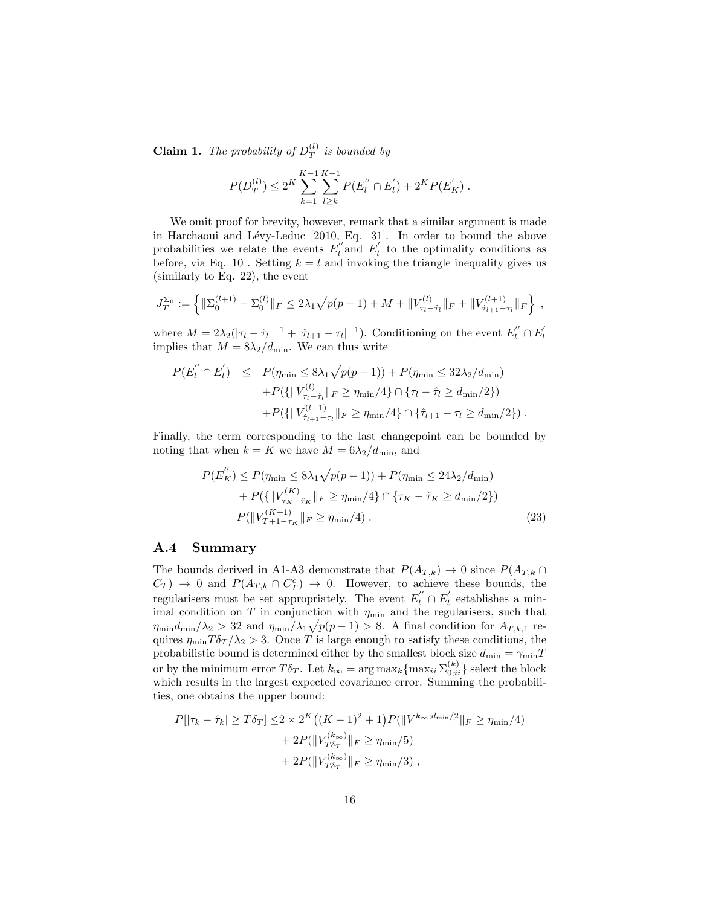**Claim 1.** The probability of  $D_T^{(l)}$  $\int_T^{(t)}$  is bounded by

$$
P(D_T^{(l)}) \le 2^K \sum_{k=1}^{K-1} \sum_{l \ge k}^{K-1} P(E_l^{''} \cap E_l^{'} ) + 2^K P(E_K^{'}).
$$

We omit proof for brevity, however, remark that a similar argument is made in Harchaoui and Lévy-Leduc [2010, Eq. 31]. In order to bound the above probabilities we relate the events  $E_l^{''}$  and  $E_l^{'}$  to the optimality conditions as before, via Eq. 10 . Setting  $k = l$  and invoking the triangle inequality gives us (similarly to Eq. 22), the event

$$
J_T^{\Sigma_0} := \left\{ \|\Sigma_0^{(l+1)} - \Sigma_0^{(l)}\|_F \le 2\lambda_1 \sqrt{p(p-1)} + M + \|V_{\tau_l - \hat{\tau}_l}^{(l)}\|_F + \|V_{\hat{\tau}_{l+1} - \tau_l}^{(l+1)}\|_F \right\},
$$

where  $M = 2\lambda_2(|\tau_l - \hat{\tau}_l|^{-1} + |\hat{\tau}_{l+1} - \tau_l|^{-1})$ . Conditioning on the event  $E_l^{''} \cap E_l^{'}$ <br>implies that  $M = 8\lambda_2/d_{\text{min}}$ . We can thus write

$$
P(E_{l}^{''} \cap E_{l}^{'}) \leq P(\eta_{\min} \leq 8\lambda_{1}\sqrt{p(p-1)}) + P(\eta_{\min} \leq 32\lambda_{2}/d_{\min})
$$
  
+ 
$$
P(\{\|V_{\tau_{l} - \hat{\tau}_{l}}^{(l)}\|_{F} \geq \eta_{\min}/4\} \cap \{\tau_{l} - \hat{\tau}_{l} \geq d_{\min}/2\})
$$
  
+ 
$$
P(\{\|V_{\hat{\tau}_{l+1} - \tau_{l}}^{(l+1)}\|_{F} \geq \eta_{\min}/4\} \cap \{\hat{\tau}_{l+1} - \tau_{l} \geq d_{\min}/2\}).
$$

Finally, the term corresponding to the last changepoint can be bounded by noting that when  $k = K$  we have  $M = 6\lambda_2/d_{\text{min}}$ , and

$$
P(E_K'') \le P(\eta_{\min} \le 8\lambda_1 \sqrt{p(p-1)}) + P(\eta_{\min} \le 24\lambda_2/d_{\min})
$$
  
+ 
$$
P(\{|V_{\tau_K - \hat{\tau}_K}^{(K)}\|_F \ge \eta_{\min}/4\} \cap {\tau_K - \hat{\tau}_K \ge d_{\min}/2})
$$
  

$$
P(\|V_{T+1-\tau_K}^{(K+1)}\|_F \ge \eta_{\min}/4).
$$
 (23)

#### A.4 Summary

The bounds derived in A1-A3 demonstrate that  $P(A_{T,k}) \to 0$  since  $P(A_{T,k} \cap A_{T,k})$  $C_T$   $\rightarrow$  0 and  $P(A_{T,k} \cap C_T^c)$   $\rightarrow$  0. However, to achieve these bounds, the regularisers must be set appropriately. The event  $E_l^{''} \cap E_l^{'}$  establishes a minimal condition on  $T$  in conjunction with  $\eta_{\min}$  and the regularisers, such that  $\eta_{\text{min}} d_{\text{min}}/\lambda_2 > 32$  and  $\eta_{\text{min}}/\lambda_1 \sqrt{p(p-1)} > 8$ . A final condition for  $A_{T,k,1}$  requires  $\eta_{\min}T\delta_T/\lambda_2 > 3$ . Once T is large enough to satisfy these conditions, the probabilistic bound is determined either by the smallest block size  $d_{\min} = \gamma_{\min}T$ or by the minimum error  $T\delta_T$ . Let  $k_{\infty} = \arg \max_k {\max_{i} \sum_{0,i}^{(k)} }$  select the block which results in the largest expected covariance error. Summing the probabilities, one obtains the upper bound:

$$
P[|\tau_k - \hat{\tau}_k| \ge T\delta_T] \le 2 \times 2^K ((K - 1)^2 + 1) P(||V^{k_{\infty}; d_{\min}/2}||_F \ge \eta_{\min}/4) + 2P(||V^{(k_{\infty})}_{T\delta_T}||_F \ge \eta_{\min}/5) + 2P(||V^{(k_{\infty})}_{T\delta_T}||_F \ge \eta_{\min}/3) ,
$$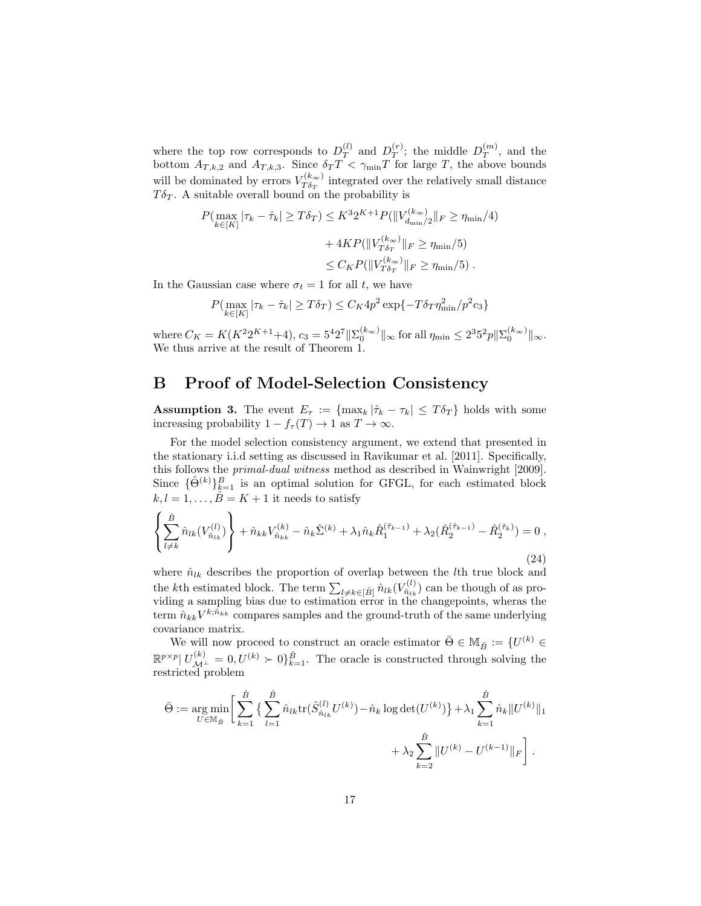where the top row corresponds to  $D_T^{(l)}$  $T_T^{(l)}$  and  $D_T^{(r)}$  $T(T)$ ; the middle  $D_T^{(m)}$  $T^{(m)}$ , and the bottom  $A_{T,k,2}$  and  $A_{T,k,3}$ . Since  $\delta_T T < \gamma_{\min} T$  for large T, the above bounds will be dominated by errors  $V_{T\delta x}^{(k_{\infty})}$  $T_{0T}^{(\kappa_{\infty})}$  integrated over the relatively small distance  $T\delta_T$ . A suitable overall bound on the probability is

$$
P(\max_{k \in [K]} |\tau_k - \hat{\tau}_k| \ge T\delta_T) \le K^3 2^{K+1} P(||V_{d_{\min}/2}^{(k_{\infty})}||_F \ge \eta_{\min}/4) + 4KP(||V_{T\delta_T}^{(k_{\infty})}||_F \ge \eta_{\min}/5) \le C_K P(||V_{T\delta_T}^{(k_{\infty})}||_F \ge \eta_{\min}/5).
$$

In the Gaussian case where  $\sigma_t = 1$  for all t, we have

$$
P(\max_{k \in [K]} |\tau_k - \hat{\tau}_k| \ge T\delta_T) \le C_K 4p^2 \exp\{-T\delta_T \eta_{\min}^2 / p^2 c_3\}
$$

where  $C_K = K(K^2 2^{K+1} + 4)$ ,  $c_3 = 5^4 2^7 ||\Sigma_0^{(k_{\infty})}||_{\infty}$  for all  $\eta_{\min} \le 2^3 5^2 p ||\Sigma_0^{(k_{\infty})}||_{\infty}$ . We thus arrive at the result of Theorem 1.

# B Proof of Model-Selection Consistency

**Assumption 3.** The event  $E_{\tau} := \{ \max_k |\hat{\tau}_k - \tau_k| \leq T \delta_T \}$  holds with some increasing probability  $1 - f_{\tau}(T) \rightarrow 1$  as  $T \rightarrow \infty$ .

For the model selection consistency argument, we extend that presented in the stationary i.i.d setting as discussed in Ravikumar et al. [2011]. Specifically, this follows the primal-dual witness method as described in Wainwright [2009]. Since  $\{\hat{\Theta}^{(k)}\}_{k=1}^B$  is an optimal solution for GFGL, for each estimated block  $k, l = 1, \ldots, \hat{B} = K + 1$  it needs to satisfy

$$
\left\{\sum_{l\neq k}^{\hat{B}} \hat{n}_{lk}(V_{\hat{n}_{lk}}^{(l)})\right\} + \hat{n}_{kk}V_{\hat{n}_{kk}}^{(k)} - \hat{n}_{k}\hat{\Sigma}^{(k)} + \lambda_{1}\hat{n}_{k}\hat{R}_{1}^{(\hat{\tau}_{k-1})} + \lambda_{2}(\hat{R}_{2}^{(\hat{\tau}_{k-1})} - \hat{R}_{2}^{(\hat{\tau}_{k})}) = 0,
$$
\n(24)

where  $\hat{n}_{lk}$  describes the proportion of overlap between the *l*th true block and the kth estimated block. The term  $\sum_{l\neq k\in[\hat{B}]} \hat{n}_{lk}(V_{\hat{n}_{lk}}^{(l)})$  $\hat{n}_{lk}^{(l)}$  can be though of as providing a sampling bias due to estimation error in the changepoints, wheras the term  $\hat{n}_{kk}V^{k;\hat{n}_{kk}}$  compares samples and the ground-truth of the same underlying covariance matrix.

We will now proceed to construct an oracle estimator  $\bar{\Theta} \in M_{\hat{B}} := \{U^{(k)} \in$  $\mathbb{R}^{p \times p} | U_{\mathcal{M}^{\perp}}^{(k)} = 0, U^{(k)} \succ 0$   $\hat{\beta}_{k=1}^{\hat{B}}$ . The oracle is constructed through solving the restricted problem

$$
\bar{\Theta} := \underset{U \in \mathbb{M}_{\hat{B}}}{\arg \min} \left[ \sum_{k=1}^{\hat{B}} \left\{ \sum_{l=1}^{\hat{B}} \hat{n}_{lk} \text{tr}(\hat{S}_{\hat{n}_{lk}}^{(l)} U^{(k)}) - \hat{n}_{k} \log \det(U^{(k)}) \right\} + \lambda_{1} \sum_{k=1}^{\hat{B}} \hat{n}_{k} ||U^{(k)}||_{1} \right. \\ \left. + \lambda_{2} \sum_{k=2}^{\hat{B}} ||U^{(k)} - U^{(k-1)}||_{F} \right].
$$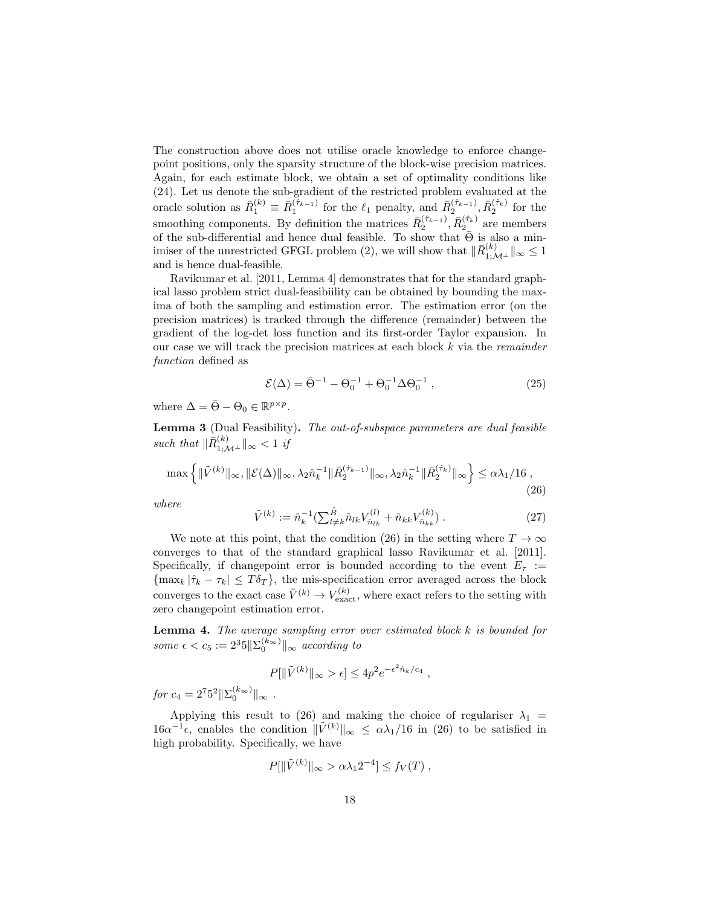The construction above does not utilise oracle knowledge to enforce changepoint positions, only the sparsity structure of the block-wise precision matrices. Again, for each estimate block, we obtain a set of optimality conditions like (24). Let us denote the sub-gradient of the restricted problem evaluated at the oracle solution as  $\bar{R}_1^{(k)} \equiv \bar{R}_1^{(\hat{\tau}_{k-1})}$  for the  $\ell_1$  penalty, and  $\bar{R}_2^{(\hat{\tau}_{k-1})}$ ,  $\bar{R}_2^{(\hat{\tau}_k)}$  for the smoothing components. By definition the matrices  $\bar{R}_2^{(\hat{\tau}_{k-1})}, \bar{R}_{2}^{(\hat{\tau}_k)}$  are members of the sub-differential and hence dual feasible. To show that  $\bar{\Theta}$  is also a minimiser of the unrestricted GFGL problem (2), we will show that  $\|\bar{R}^{(k)}_{1;\mathcal{M}^{\perp}}\|_{\infty} \leq 1$ and is hence dual-feasible.

Ravikumar et al. [2011, Lemma 4] demonstrates that for the standard graphical lasso problem strict dual-feasibiility can be obtained by bounding the maxima of both the sampling and estimation error. The estimation error (on the precision matrices) is tracked through the difference (remainder) between the gradient of the log-det loss function and its first-order Taylor expansion. In our case we will track the precision matrices at each block  $k$  via the *remainder* function defined as

$$
\mathcal{E}(\Delta) = \bar{\Theta}^{-1} - \Theta_0^{-1} + \Theta_0^{-1} \Delta \Theta_0^{-1} , \qquad (25)
$$

where  $\Delta = \bar{\Theta} - \Theta_0 \in \mathbb{R}^{p \times p}$ .

Lemma 3 (Dual Feasibility). The out-of-subspace parameters are dual feasible such that  $\|\bar{R}^{(k)}_{1;\mathcal{M}^{\perp}}\|_{\infty} < 1$  if

$$
\max \left\{ \|\tilde{V}^{(k)}\|_{\infty}, \|\mathcal{E}(\Delta)\|_{\infty}, \lambda_2 \hat{n}_k^{-1} \|\bar{R}_2^{(\hat{\tau}_{k-1})}\|_{\infty}, \lambda_2 \hat{n}_k^{-1} \|\bar{R}_2^{(\hat{\tau}_k)}\|_{\infty} \right\} \le \alpha \lambda_1 / 16 ,\tag{26}
$$

where

$$
\tilde{V}^{(k)} := \hat{n}_k^{-1} \left( \sum_{l \neq k} \hat{n}_{lk} V_{\hat{n}_{lk}}^{(l)} + \hat{n}_{kk} V_{\hat{n}_{kk}}^{(k)} \right). \tag{27}
$$

,

We note at this point, that the condition (26) in the setting where  $T \to \infty$ converges to that of the standard graphical lasso Ravikumar et al. [2011]. Specifically, if changepoint error is bounded according to the event  $E_{\tau}$  :=  ${\max_k |\hat{\tau}_k - \tau_k| \leq T\delta_T}$ , the mis-specification error averaged across the block converges to the exact case  $\tilde{V}^{(k)} \to V_{\text{exact}}^{(k)}$ , where exact refers to the setting with zero changepoint estimation error.

**Lemma 4.** The average sampling error over estimated block  $k$  is bounded for some  $\epsilon < c_5 := 2^3 5 \|\Sigma_0^{(k_{\infty})}\|_{\infty}$  according to

$$
P[\|\tilde{V}^{(k)}\|_{\infty} > \epsilon] \le 4p^2 e^{-\epsilon^2 \hat{n}_k/c_4}
$$

 $\int \! dr \, c_4 = 2^7 5^2 \|\Sigma_0^{(k_{\infty})}\|_{\infty}$ .

Applying this result to (26) and making the choice of regulariser  $\lambda_1$  =  $16\alpha^{-1}\epsilon$ , enables the condition  $\|\tilde{V}^{(k)}\|_{\infty} \leq \alpha\lambda_1/16$  in (26) to be satisfied in high probability. Specifically, we have

$$
P[\|\tilde{V}^{(k)}\|_{\infty} > \alpha\lambda_1 2^{-4}] \le f_V(T) ,
$$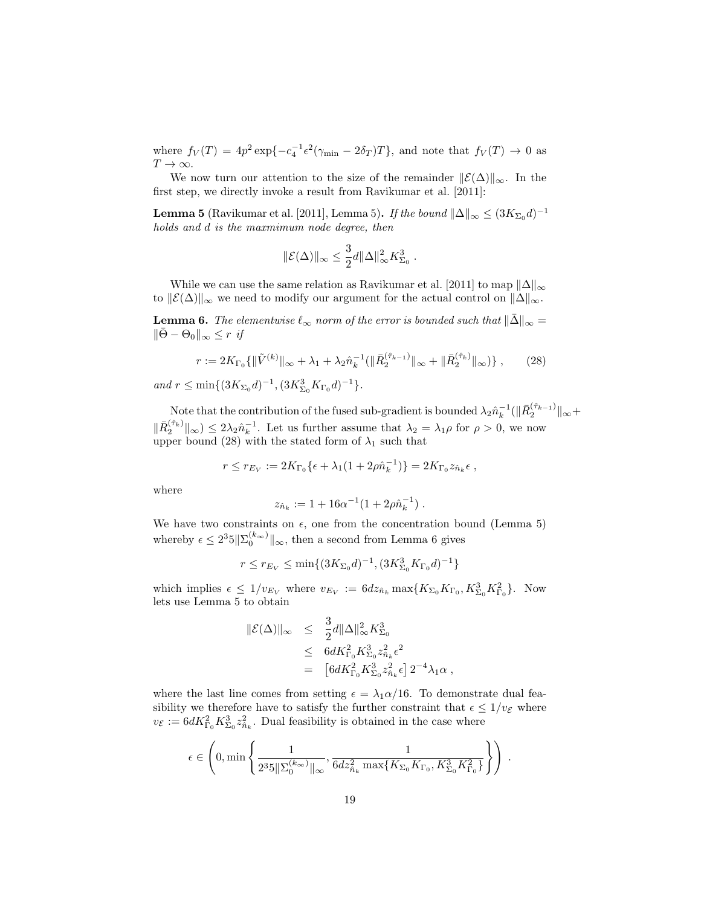where  $f_V(T) = 4p^2 \exp\{-c_4^{-1} \epsilon^2 (\gamma_{\min} - 2\delta_T)T\}$ , and note that  $f_V(T) \to 0$  as  $T\rightarrow\infty.$ 

We now turn our attention to the size of the remainder  $\mathcal{L}(\Delta)\|_{\infty}$ . In the first step, we directly invoke a result from Ravikumar et al. [2011]:

**Lemma 5** (Ravikumar et al. [2011], Lemma 5). If the bound  $\|\Delta\|_{\infty} \leq (3K_{\Sigma_0}d)^{-1}$ holds and d is the maxmimum node degree, then

$$
\|\mathcal{E}(\Delta)\|_{\infty} \leq \frac{3}{2}d\|\Delta\|_{\infty}^2 K_{\Sigma_0}^3.
$$

While we can use the same relation as Ravikumar et al. [2011] to map  $\|\Delta\|_{\infty}$ to  $||\mathcal{E}(\Delta)||_{\infty}$  we need to modify our argument for the actual control on  $||\Delta||_{\infty}$ .

**Lemma 6.** The elementwise  $\ell_{\infty}$  norm of the error is bounded such that  $\|\bar{\Delta}\|_{\infty} =$  $\|\overline{\Theta} - \Theta_0\|_{\infty} \leq r$  if

$$
r := 2K_{\Gamma_0}\{\|\tilde{V}^{(k)}\|_{\infty} + \lambda_1 + \lambda_2 \hat{n}_k^{-1}(\|\bar{R}_2^{(\hat{\tau}_{k-1})}\|_{\infty} + \|\bar{R}_2^{(\hat{\tau}_k)}\|_{\infty})\},\qquad(28)
$$

and  $r \leq \min\{(3K_{\Sigma_0}d)^{-1}, (3K_{\Sigma_0}^3K_{\Gamma_0}d)^{-1}\}.$ 

Note that the contribution of the fused sub-gradient is bounded  $\lambda_2 \hat{n}_k^{-1} (\|\bar{R}_2^{(\hat{\tau}_{k-1})}\|_{\infty} +$  $\|\bar{R}_2^{(\hat{\tau}_k)}\|_{\infty} \leq 2\lambda_2 \hat{n}_k^{-1}$ . Let us further assume that  $\lambda_2 = \lambda_1 \rho$  for  $\rho > 0$ , we now upper bound (28) with the stated form of  $\lambda_1$  such that

$$
r \le r_{E_V} := 2K_{\Gamma_0} \{ \epsilon + \lambda_1 (1 + 2\rho \hat{n}_k^{-1}) \} = 2K_{\Gamma_0} z_{\hat{n}_k} \epsilon ,
$$

where

$$
z_{\hat{n}_k} := 1 + 16\alpha^{-1}(1 + 2\rho \hat{n}_k^{-1}).
$$

We have two constraints on  $\epsilon$ , one from the concentration bound (Lemma 5) whereby  $\epsilon \leq 2^3 5 \|\Sigma_0^{(k_{\infty})}\|_{\infty}$ , then a second from Lemma 6 gives

$$
r \le r_{E_V} \le \min\{(3K_{\Sigma_0}d)^{-1}, (3K_{\Sigma_0}^3K_{\Gamma_0}d)^{-1}\}
$$

which implies  $\epsilon \leq 1/v_{E_V}$  where  $v_{E_V} := 6dz_{\hat{n}_k} \max\{K_{\Sigma_0}K_{\Gamma_0}, K_{\Sigma_0}^3K_{\Gamma_0}^2\}$ . Now lets use Lemma 5 to obtain

$$
\begin{array}{rcl} \|\mathcal{E}(\Delta)\|_\infty & \leq & \frac{3}{2} d \|\Delta\|_\infty^2 K_{\Sigma_0}^3 \\ & \leq & 6 d K_{\Gamma_0}^2 K_{\Sigma_0}^3 z_{\hat n_k}^2 \epsilon^2 \\ & = & \left[ 6 d K_{\Gamma_0}^2 K_{\Sigma_0}^3 z_{\hat n_k}^2 \epsilon \right] 2^{-4} \lambda_1 \alpha \; , \end{array}
$$

where the last line comes from setting  $\epsilon = \lambda_1 \alpha/16$ . To demonstrate dual feasibility we therefore have to satisfy the further constraint that  $\epsilon \leq 1/v_{\mathcal{E}}$  where  $v_{\mathcal{E}} := 6dK_{\Gamma_0}^2 K_{\Sigma_0}^3 z_{\hat{n}_k}^2$ . Dual feasibility is obtained in the case where

$$
\epsilon \in \left(0, \min\left\{\frac{1}{2^3 5\|\Sigma_0^{(k_{\infty})}\|_{\infty}}, \frac{1}{6d z_{\hat{n}_k}^2 \max\{K_{\Sigma_0} K_{\Gamma_0}, K_{\Sigma_0}^3 K_{\Gamma_0}^2\}}\right\}\right) .
$$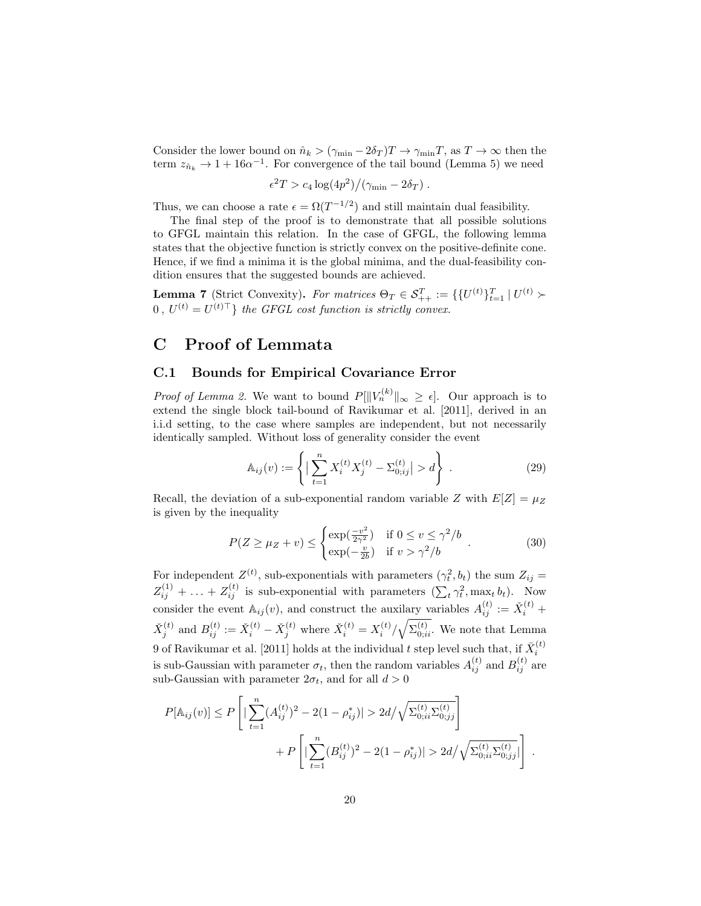Consider the lower bound on  $\hat{n}_k > (\gamma_{\min} - 2\delta_T)T \to \gamma_{\min}T$ , as  $T \to \infty$  then the term  $z_{\hat{n}_k} \to 1 + 16\alpha^{-1}$ . For convergence of the tail bound (Lemma 5) we need

$$
\epsilon^2 T > c_4 \log(4p^2) / (\gamma_{\min} - 2\delta_T) .
$$

Thus, we can choose a rate  $\epsilon = \Omega(T^{-1/2})$  and still maintain dual feasibility.

The final step of the proof is to demonstrate that all possible solutions to GFGL maintain this relation. In the case of GFGL, the following lemma states that the objective function is strictly convex on the positive-definite cone. Hence, if we find a minima it is the global minima, and the dual-feasibility condition ensures that the suggested bounds are achieved.

**Lemma 7** (Strict Convexity). For matrices  $\Theta_T \in \mathcal{S}_{++}^T := \{ \{U^{(t)}\}_{t=1}^T \mid U^{(t)} \succ$  $0, U^{(t)} = U^{(t)\top}$  the GFGL cost function is strictly convex.

# C Proof of Lemmata

### C.1 Bounds for Empirical Covariance Error

*Proof of Lemma 2.* We want to bound  $P[\|V_n^{(k)}\|_{\infty} \geq \epsilon]$ . Our approach is to extend the single block tail-bound of Ravikumar et al. [2011], derived in an i.i.d setting, to the case where samples are independent, but not necessarily identically sampled. Without loss of generality consider the event

$$
\mathbb{A}_{ij}(v) := \left\{ \left| \sum_{t=1}^{n} X_i^{(t)} X_j^{(t)} - \Sigma_{0;ij}^{(t)} \right| > d \right\} . \tag{29}
$$

Recall, the deviation of a sub-exponential random variable Z with  $E[Z] = \mu_Z$ is given by the inequality

$$
P(Z \ge \mu_Z + v) \le \begin{cases} \exp(\frac{-v^2}{2\gamma^2}) & \text{if } 0 \le v \le \gamma^2/b \\ \exp(-\frac{v}{2b}) & \text{if } v > \gamma^2/b \end{cases} . \tag{30}
$$

.

For independent  $Z^{(t)}$ , sub-exponentials with parameters  $(\gamma_t^2, b_t)$  the sum  $Z_{ij} =$  $Z_{ij}^{(1)} + \ldots + Z_{ij}^{(t)}$  is sub-exponential with parameters  $(\sum_t \gamma_t^2, \max_t b_t)$ . Now consider the event  $\mathbb{A}_{ij}(v)$ , and construct the auxilary variables  $A_{ij}^{(t)} := \check{X}_i^{(t)} +$  $\check{X}_j^{(t)}$  and  $B_{ij}^{(t)} := \check{X}_i^{(t)} - \check{X}_j^{(t)}$  where  $\check{X}_i^{(t)} = X_i^{(t)} / \sqrt{\Sigma_{0;ii}^{(t)}}$ . We note that Lemma 9 of Ravikumar et al. [2011] holds at the individual  $t$  step level such that, if  $\bar{X}_i^{(t)}$ is sub-Gaussian with parameter  $\sigma_t$ , then the random variables  $A_{ij}^{(t)}$  and  $B_{ij}^{(t)}$  are sub-Gaussian with parameter  $2\sigma_t$ , and for all  $d > 0$ 

$$
P[\mathbb{A}_{ij}(v)] \le P\left[|\sum_{t=1}^{n} (A_{ij}^{(t)})^2 - 2(1-\rho_{ij}^*)| > 2d/\sqrt{\Sigma_{0;ii}^{(t)}\Sigma_{0;jj}^{(t)}}\right] + P\left[|\sum_{t=1}^{n} (B_{ij}^{(t)})^2 - 2(1-\rho_{ij}^*)| > 2d/\sqrt{\Sigma_{0;ii}^{(t)}\Sigma_{0;jj}^{(t)}}|\right]
$$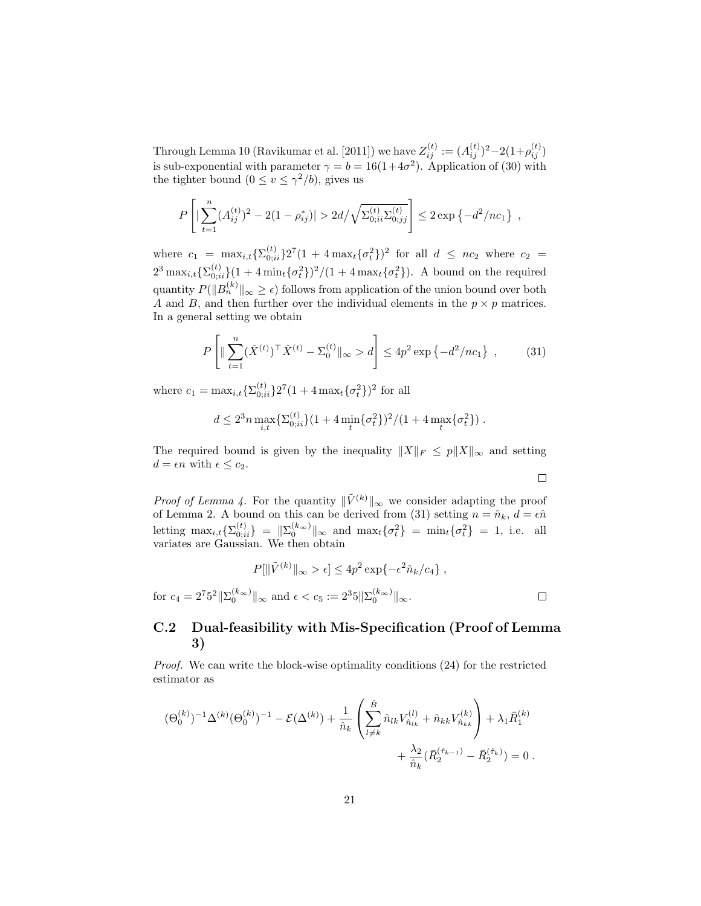Through Lemma 10 (Ravikumar et al. [2011]) we have  $Z_{ij}^{(t)} := (A_{ij}^{(t)})^2 - 2(1+\rho_{ij}^{(t)})$ is sub-exponential with parameter  $\gamma = b = 16(1+4\sigma^2)$ . Application of (30) with the tighter bound  $(0 \le v \le \gamma^2/b)$ , gives us

$$
P\left[|\sum_{t=1}^n (A_{ij}^{(t)})^2 - 2(1-\rho_{ij}^*)| > 2d/\sqrt{\Sigma_{0;ii}^{(t)}\Sigma_{0;jj}^{(t)}}\right] \le 2\exp\left\{-d^2/nc_1\right\},\,
$$

where  $c_1 = \max_{i,t} {\sum_{0;ii}^{(t)} } 2^7 (1 + 4 \max_t {\{\sigma_t^2\}})^2$  for all  $d \leq nc_2$  where  $c_2 =$  $2^3 \max_{i,t} {\sum_{0;ii}^{(t)}}(1 + 4 \min_t {\{\sigma_t^2\}})^2/(1 + 4 \max_t {\{\sigma_t^2\}}).$  A bound on the required quantity  $P(||B_n^{(k)}||_{\infty} \geq \epsilon)$  follows from application of the union bound over both A and B, and then further over the individual elements in the  $p \times p$  matrices. In a general setting we obtain

$$
P\left[\|\sum_{t=1}^{n} (\check{X}^{(t)})^{\top} \check{X}^{(t)} - \Sigma_0^{(t)}\|_{\infty} > d\right] \le 4p^2 \exp\left\{-d^2/nc_1\right\} ,\qquad(31)
$$

where  $c_1 = \max_{i,t} {\sum_{0;ii}^{(t)} } 2^7 (1 + 4 \max_t {\sigma_t^2})^2$  for all

$$
d \le 2^3 n \max_{i,t} \{ \Sigma_{0;ii}^{(t)} \} (1 + 4 \min_t \{ \sigma_t^2 \})^2 / (1 + 4 \max_t \{ \sigma_t^2 \}) .
$$

The required bound is given by the inequality  $||X||_F \leq p||X||_{\infty}$  and setting  $d = \epsilon n$  with  $\epsilon \leq c_2$ .  $\Box$ 

*Proof of Lemma 4.* For the quantity  $\|\tilde{V}^{(k)}\|_{\infty}$  we consider adapting the proof of Lemma 2. A bound on this can be derived from (31) setting  $n = \hat{n}_k$ ,  $d = \epsilon \hat{n}$ letting  $\max_{i,t} \{ \Sigma_{0;ii}^{(t)} \} = ||\Sigma_{0}^{(k_{\infty})}||_{\infty}$  and  $\max_{t} \{ \sigma_t^2 \} = \min_{t} \{ \sigma_t^2 \} = 1$ , i.e. all variates are Gaussian. We then obtain

$$
P[\|\tilde{V}^{(k)}\|_{\infty} > \epsilon] \le 4p^2 \exp\{-\epsilon^2 \hat{n}_k/c_4\},
$$
  
for  $c_4 = 2^7 5^2 \|\Sigma_0^{(k_{\infty})}\|_{\infty}$  and  $\epsilon < c_5 := 2^3 5 \|\Sigma_0^{(k_{\infty})}\|_{\infty}$ .

# C.2 Dual-feasibility with Mis-Specification (Proof of Lemma 3)

Proof. We can write the block-wise optimality conditions (24) for the restricted estimator as

$$
\begin{aligned} (\Theta_0^{(k)})^{-1} \Delta^{(k)} (\Theta_0^{(k)})^{-1} - \mathcal{E} (\Delta^{(k)}) + \frac{1}{\hat{n}_k} \left( \sum_{l \neq k}^{\hat{B}} \hat{n}_{lk} V_{\hat{n}_{lk}}^{(l)} + \hat{n}_{kk} V_{\hat{n}_{kk}}^{(k)} \right) + \lambda_1 \bar{R}_1^{(k)} \\ &+ \frac{\lambda_2}{\hat{n}_k} (\bar{R}_2^{(\hat{\tau}_{k-1})} - \bar{R}_2^{(\hat{\tau}_k)}) = 0 \; . \end{aligned}
$$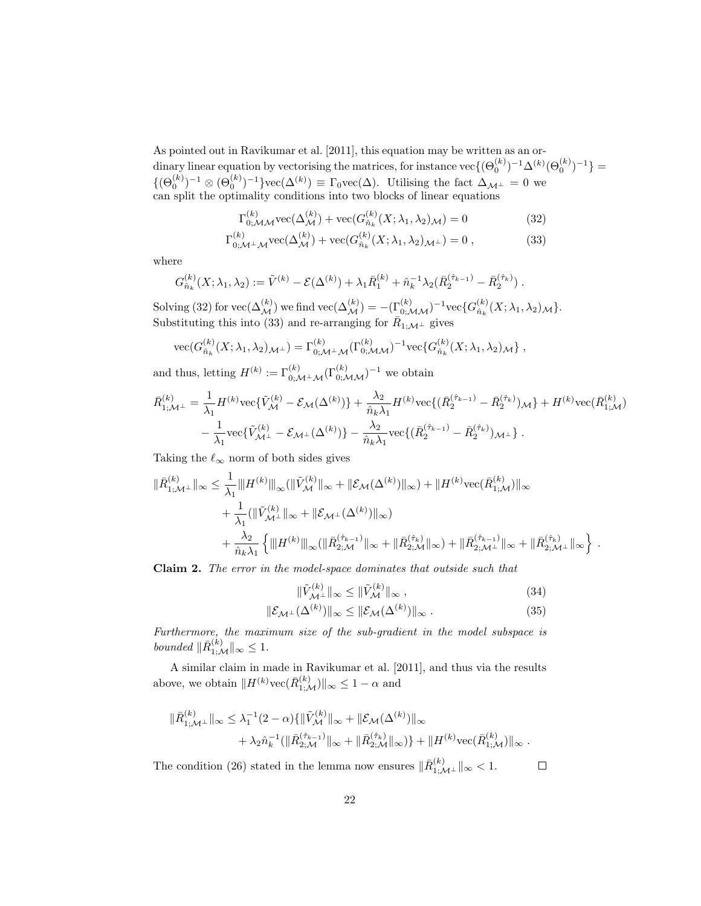As pointed out in Ravikumar et al. [2011], this equation may be written as an ordinary linear equation by vectorising the matrices, for instance  $\text{vec}\{(\Theta_0^{(k)})^{-1}\Delta^{(k)}(\Theta_0^{(k)})^{-1}\} =$  ${(\Theta_0^{(k)})^{-1} \otimes (\Theta_0^{(k)})^{-1}}\text{vec}(\Delta^{(k)}) \equiv \Gamma_0 \text{vec}(\Delta)$ . Utilising the fact  $\Delta_{\mathcal{M}^\perp} = 0$  we can split the optimality conditions into two blocks of linear equations

$$
\Gamma_{0;\mathcal{M}\mathcal{M}}^{(k)} \text{vec}(\Delta_{\mathcal{M}}^{(k)}) + \text{vec}(G_{\hat{n}_{k}}^{(k)}(X; \lambda_{1}, \lambda_{2})_{\mathcal{M}}) = 0
$$
\n(32)\n
$$
\Gamma_{0;\mathcal{M}^{\perp}\mathcal{M}}^{(k)} \text{vec}(\Delta_{\mathcal{M}}^{(k)}) + \text{vec}(G_{\hat{n}_{k}}^{(k)}(X; \lambda_{1}, \lambda_{2})_{\mathcal{M}^{\perp}}) = 0 ,
$$
\n(33)

where

$$
G_{\hat{n}_k}^{(k)}(X; \lambda_1, \lambda_2) := \tilde{V}^{(k)} - \mathcal{E}(\Delta^{(k)}) + \lambda_1 \bar{R}_1^{(k)} + \hat{n}_k^{-1} \lambda_2 (\bar{R}_2^{(\hat{\tau}_{k-1})} - \bar{R}_2^{(\hat{\tau}_k)}).
$$

Solving (32) for  $\text{vec}(\Delta_{\mathcal{M}}^{(k)})$  we find  $\text{vec}(\Delta_{\mathcal{M}}^{(k)}) = -(\Gamma_{0;\mathcal{M}\mathcal{M}}^{(k)})^{-1}\text{vec}\{G_{\hat{n}_k}^{(k)}\}$  $\frac{\lambda^{(\kappa)}_n(X;\lambda_1,\lambda_2)_{\mathcal{M}}\}$ . Substituting this into (33) and re-arranging for  $\overline{R}_{1;\mathcal{M}^{\perp}}$  gives

$$
\text{vec}(G_{\hat{n}_k}^{(k)}(X; \lambda_1, \lambda_2)_{\mathcal{M}^\perp}) = \Gamma_{0; \mathcal{M}^\perp \mathcal{M}}^{(k)}(\Gamma_{0; \mathcal{M} \mathcal{M}}^{(k)})^{-1} \text{vec}\{G_{\hat{n}_k}^{(k)}(X; \lambda_1, \lambda_2)_{\mathcal{M}}\},
$$

and thus, letting  $H^{(k)} := \Gamma_{0; \mathcal{M}^\perp \mathcal{M}}^{(k)}(\Gamma_{0; \mathcal{M} \mathcal{M}}^{(k)})^{-1}$  we obtain

$$
\bar{R}_{1;\mathcal{M}^{\perp}}^{(k)} = \frac{1}{\lambda_1} H^{(k)} \text{vec} \{ \tilde{V}_{\mathcal{M}}^{(k)} - \mathcal{E}_{\mathcal{M}}(\Delta^{(k)}) \} + \frac{\lambda_2}{\hat{n}_k \lambda_1} H^{(k)} \text{vec} \{ (\bar{R}_2^{(\hat{\tau}_{k-1})} - \bar{R}_2^{(\hat{\tau}_k)})_{\mathcal{M}} \} + H^{(k)} \text{vec} (\bar{R}_{1;\mathcal{M}}^{(k)}) \n- \frac{1}{\lambda_1} \text{vec} \{ \tilde{V}_{\mathcal{M}^{\perp}}^{(k)} - \mathcal{E}_{\mathcal{M}^{\perp}}(\Delta^{(k)}) \} - \frac{\lambda_2}{\hat{n}_k \lambda_1} \text{vec} \{ (\bar{R}_2^{(\hat{\tau}_{k-1})} - \bar{R}_2^{(\hat{\tau}_k)})_{\mathcal{M}^{\perp}} \}.
$$

Taking the  $\ell_{\infty}$  norm of both sides gives

$$
\begin{split} \|\bar{R}_{1;\mathcal{M}^{\perp}}^{(k)}\|_{\infty} &\leq \frac{1}{\lambda_{1}} \|H^{(k)}\|_{\infty} (\|\tilde{V}_{\mathcal{M}}^{(k)}\|_{\infty} + \|\mathcal{E}_{\mathcal{M}}(\Delta^{(k)})\|_{\infty}) + \|H^{(k)}\text{vec}(\bar{R}_{1;\mathcal{M}}^{(k)})\|_{\infty} \\ &+ \frac{1}{\lambda_{1}} (\|\tilde{V}_{\mathcal{M}^{\perp}}^{(k)}\|_{\infty} + \|\mathcal{E}_{\mathcal{M}^{\perp}}(\Delta^{(k)})\|_{\infty}) \\ &+ \frac{\lambda_{2}}{\hat{n}_{k}\lambda_{1}} \left\{\|H^{(k)}\|_{\infty} (\|\bar{R}_{2;\mathcal{M}}^{(\hat{\tau}_{k-1})}\|_{\infty} + \|\bar{R}_{2;\mathcal{M}^{\perp}}^{(\hat{\tau}_{k})}\|_{\infty}) + \|\bar{R}_{2;\mathcal{M}^{\perp}}^{(\hat{\tau}_{k-1})}\|_{\infty} + \|\bar{R}_{2;\mathcal{M}^{\perp}}^{(\hat{\tau}_{k})}\|_{\infty}\right\} \end{split}.
$$

Claim 2. The error in the model-space dominates that outside such that

$$
\|\tilde{V}_{\mathcal{M}^{\perp}}^{(k)}\|_{\infty} \le \|\tilde{V}_{\mathcal{M}}^{(k)}\|_{\infty},\tag{34}
$$

$$
\|\mathcal{E}_{\mathcal{M}^{\perp}}(\Delta^{(k)})\|_{\infty} \le \|\mathcal{E}_{\mathcal{M}}(\Delta^{(k)})\|_{\infty}.
$$
\n(35)

Furthermore, the maximum size of the sub-gradient in the model subspace is bounded  $\|\bar{R}_{1;\mathcal{M}}^{(k)}\|_{\infty} \leq 1.$ 

A similar claim in made in Ravikumar et al. [2011], and thus via the results above, we obtain  $||H^{(k)}\text{vec}(\bar{R}^{(k)}_{1;\mathcal{M}})||_{\infty} \leq 1-\alpha$  and

$$
\begin{aligned} \|\bar{R}_{1;\mathcal{M}^{\perp}}^{(k)}\|_{\infty} &\leq \lambda_1^{-1}(2-\alpha)\{\|\tilde{V}_{\mathcal{M}}^{(k)}\|_{\infty} + \|\mathcal{E}_{\mathcal{M}}(\Delta^{(k)})\|_{\infty} \\ &+ \lambda_2 \hat{n}_{k}^{-1}(\|\bar{R}_{2;\mathcal{M}}^{(\hat{\tau}_{k-1})}\|_{\infty} + \|\bar{R}_{2;\mathcal{M}}^{(\hat{\tau}_{k})}\|_{\infty})\} + \|H^{(k)}\text{vec}(\bar{R}_{1;\mathcal{M}}^{(k)})\|_{\infty} \,.\end{aligned}
$$

The condition (26) stated in the lemma now ensures  $\|\bar{R}^{(k)}_{1;\mathcal{M}^{\perp}}\|_{\infty} < 1$ .  $\Box$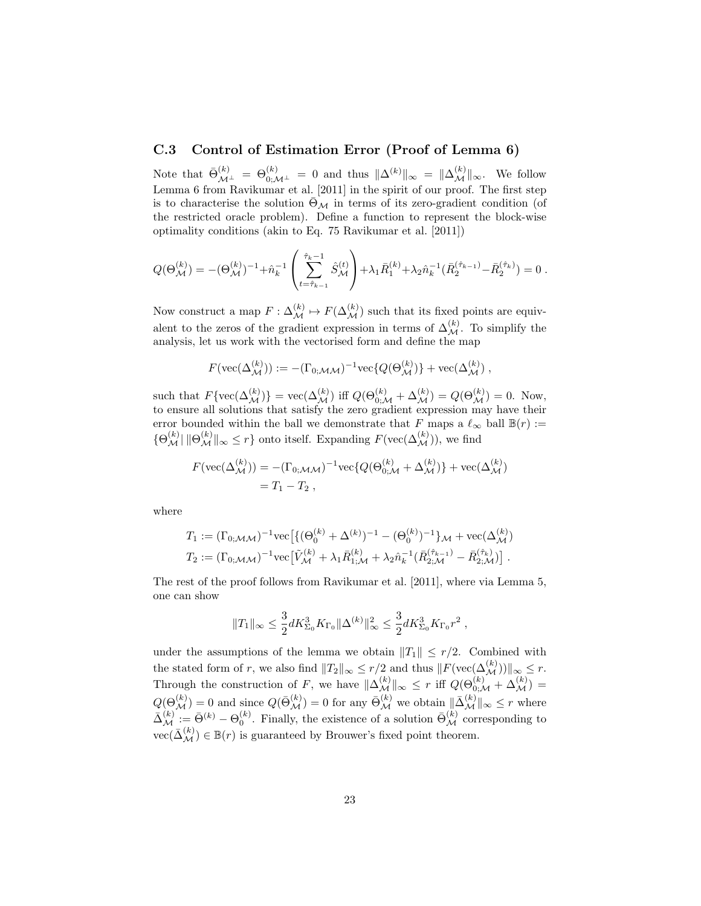### C.3 Control of Estimation Error (Proof of Lemma 6)

Note that  $\bar{\Theta}_{\mathcal{M}^\perp}^{(k)} = \Theta_{0;\mathcal{M}^\perp}^{(k)} = 0$  and thus  $\|\Delta^{(k)}\|_{\infty} = \|\Delta_{\mathcal{M}}^{(k)}\|_{\infty}$ . We follow Lemma 6 from Ravikumar et al. [2011] in the spirit of our proof. The first step is to characterise the solution  $\bar{\Theta}_{\mathcal{M}}$  in terms of its zero-gradient condition (of the restricted oracle problem). Define a function to represent the block-wise optimality conditions (akin to Eq. 75 Ravikumar et al. [2011])

$$
Q(\Theta_{\mathcal{M}}^{(k)}) = -(\Theta_{\mathcal{M}}^{(k)})^{-1} + \hat{n}_{k}^{-1} \left( \sum_{t=\hat{\tau}_{k-1}}^{\hat{\tau}_{k}-1} \hat{S}_{\mathcal{M}}^{(t)} \right) + \lambda_{1} \bar{R}_{1}^{(k)} + \lambda_{2} \hat{n}_{k}^{-1} (\bar{R}_{2}^{(\hat{\tau}_{k-1})} - \bar{R}_{2}^{(\hat{\tau}_{k})}) = 0.
$$

Now construct a map  $F: \Delta_{\mathcal{M}}^{(k)} \mapsto F(\Delta_{\mathcal{M}}^{(k)})$  such that its fixed points are equivalent to the zeros of the gradient expression in terms of  $\Delta_{\mathcal{M}}^{(k)}$ . To simplify the analysis, let us work with the vectorised form and define the map

$$
F(\text{vec}(\Delta_{\mathcal{M}}^{(k)})):=-(\Gamma_{0;\mathcal{M}\mathcal{M}})^{-1}\text{vec}\{Q(\Theta_{\mathcal{M}}^{(k)})\}+\text{vec}(\Delta_{\mathcal{M}}^{(k)})\;,
$$

such that  $F\{\text{vec}(\Delta_{\mathcal{M}}^{(k)})\} = \text{vec}(\Delta_{\mathcal{M}}^{(k)})$  iff  $Q(\Theta_{0;\mathcal{M}}^{(k)} + \Delta_{\mathcal{M}}^{(k)}) = Q(\Theta_{\mathcal{M}}^{(k)}) = 0$ . Now, to ensure all solutions that satisfy the zero gradient expression may have their error bounded within the ball we demonstrate that F maps a  $\ell_{\infty}$  ball  $\mathbb{B}(r) :=$  $\{\Theta_{\mathcal{M}}^{(k)} | \|\Theta_{\mathcal{M}}^{(k)}\|_{\infty} \leq r\}$  onto itself. Expanding  $F(\text{vec}(\Delta_{\mathcal{M}}^{(k)})),$  we find

$$
F(\text{vec}(\Delta_{\mathcal{M}}^{(k)})) = -(\Gamma_{0; \mathcal{M}\mathcal{M}})^{-1} \text{vec}\{Q(\Theta_{0; \mathcal{M}}^{(k)} + \Delta_{\mathcal{M}}^{(k)})\} + \text{vec}(\Delta_{\mathcal{M}}^{(k)})
$$
  
=  $T_1 - T_2$ ,

where

$$
T_1 := (\Gamma_{0;MM})^{-1} \text{vec} \left[ \{ (\Theta_0^{(k)} + \Delta^{(k)})^{-1} - (\Theta_0^{(k)})^{-1} \} M + \text{vec}(\Delta_M^{(k)}) \right]
$$
  

$$
T_2 := (\Gamma_{0;MM})^{-1} \text{vec} \left[ \tilde{V}_M^{(k)} + \lambda_1 \bar{R}_{1;M}^{(k)} + \lambda_2 \hat{n}_k^{-1} (\bar{R}_{2;M}^{\hat{\tau}_{k-1}} - \bar{R}_{2;M}^{\hat{\tau}_k}) \right].
$$

The rest of the proof follows from Ravikumar et al. [2011], where via Lemma 5, one can show

$$
||T_1||_{\infty} \leq \frac{3}{2} dK_{\Sigma_0}^3 K_{\Gamma_0} ||\Delta^{(k)}||_{\infty}^2 \leq \frac{3}{2} dK_{\Sigma_0}^3 K_{\Gamma_0} r^2 ,
$$

under the assumptions of the lemma we obtain  $||T_1|| \leq r/2$ . Combined with the stated form of r, we also find  $||T_2||_{\infty} \leq r/2$  and thus  $||F(\text{vec}(\Delta_{\mathcal{M}}^{(k)}))||_{\infty} \leq r$ . Through the construction of F, we have  $\|\Delta_{\mathcal{M}}^{(k)}\|_{\infty} \leq r$  iff  $Q(\Theta_{0;\mathcal{M}}^{(k)} + \Delta_{\mathcal{M}}^{(k)}) =$  $Q(\Theta_{\mathcal{M}}^{(k)}) = 0$  and since  $Q(\bar{\Theta}_{\mathcal{M}}^{(k)}) = 0$  for any  $\bar{\Theta}_{\mathcal{M}}^{(k)}$  we obtain  $\|\bar{\Delta}_{\mathcal{M}}^{(k)}\|_{\infty} \leq r$  where  $\bar{\Delta}^{(k)}_{\mathcal{M}} := \bar{\Theta}^{(k)} - \Theta_0^{(k)}$ . Finally, the existence of a solution  $\bar{\Theta}_{\mathcal{M}}^{(k)}$  corresponding to  $\text{vec}(\bar{\Delta}_{\mathcal{M}}^{(k)}) \in \mathbb{B}(r)$  is guaranteed by Brouwer's fixed point theorem.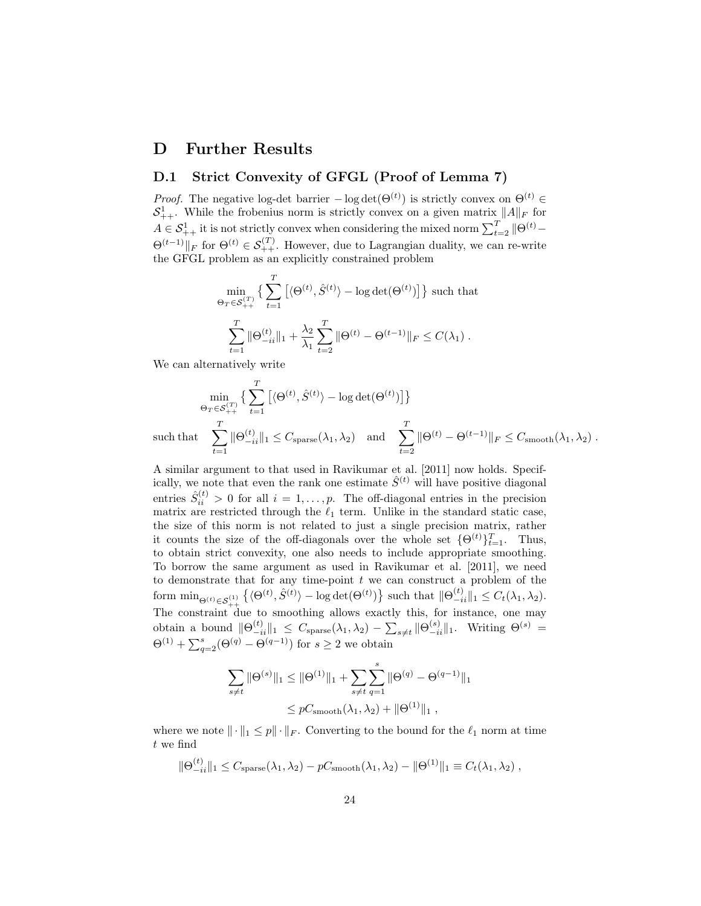# D Further Results

# D.1 Strict Convexity of GFGL (Proof of Lemma 7)

*Proof.* The negative log-det barrier  $-\log \det(\Theta^{(t)})$  is strictly convex on  $\Theta^{(t)}$  $S^1_{++}$ . While the frobenius norm is strictly convex on a given matrix  $||A||_F$  for  $A \in \mathcal{S}_{++}^1$  it is not strictly convex when considering the mixed norm  $\sum_{t=2}^{T} ||\Theta^{(t)} \Theta^{(t-1)}\|_F$  for  $\Theta^{(t)} \in \mathcal{S}_{++}^{(T)}$ . However, due to Lagrangian duality, we can re-write the GFGL problem as an explicitly constrained problem

$$
\min_{\Theta_T \in S_{++}^{(T)}} \left\{ \sum_{t=1}^T \left[ \langle \Theta^{(t)}, \hat{S}^{(t)} \rangle - \log \det(\Theta^{(t)}) \right] \right\} \text{ such that}
$$

$$
\sum_{t=1}^T \|\Theta_{-ii}^{(t)}\|_1 + \frac{\lambda_2}{\lambda_1} \sum_{t=2}^T \|\Theta^{(t)} - \Theta^{(t-1)}\|_F \le C(\lambda_1) .
$$

We can alternatively write

$$
\min_{\Theta_T \in \mathcal{S}_{++}^{(T)}} \left\{ \sum_{t=1}^T \left[ \langle \Theta^{(t)}, \hat{S}^{(t)} \rangle - \log \det(\Theta^{(t)}) \right] \right\}
$$
\nthat

\n
$$
\sum_{t=1}^T \|\Theta_{-ii}^{(t)}\|_1 \leq C_{\text{sparse}}(\lambda_1, \lambda_2) \quad \text{and} \quad \sum_{t=2}^T \|\Theta^{(t)} - \Theta^{(t-1)}\|_F \leq C_{\text{smooth}}(\lambda_1, \lambda_2) .
$$

such

A similar argument to that used in Ravikumar et al. [2011] now holds. Specifically, we note that even the rank one estimate  $\hat{S}^{(t)}$  will have positive diagonal entries  $\hat{S}_{ii}^{(t)} > 0$  for all  $i = 1, ..., p$ . The off-diagonal entries in the precision matrix are restricted through the  $\ell_1$  term. Unlike in the standard static case, the size of this norm is not related to just a single precision matrix, rather it counts the size of the off-diagonals over the whole set  $\{\Theta^{(t)}\}_{t=1}^T$ . Thus, to obtain strict convexity, one also needs to include appropriate smoothing. To borrow the same argument as used in Ravikumar et al. [2011], we need to demonstrate that for any time-point  $t$  we can construct a problem of the form  $\min_{\Theta^{(t)} \in \mathcal{S}_{++}^{(1)}} \left\{ \langle \Theta^{(t)}, \hat{S}^{(t)} \rangle - \log \det(\Theta^{(t)}) \right\}$  such that  $\|\Theta_{-ii}^{(t)}\|_1 \leq C_t(\lambda_1, \lambda_2)$ . The constraint due to smoothing allows exactly this, for instance, one may obtain a bound  $\|\Theta_{-ii}^{(t)}\|_1 \leq C_{\text{sparse}}(\lambda_1, \lambda_2) - \sum_{s \neq t} \|\Theta_{-ii}^{(s)}\|_1$ . Writing  $\Theta^{(s)}$  =  $\Theta^{(1)} + \sum_{q=2}^{s} (\Theta^{(q)} - \Theta^{(q-1)})$  for  $s \geq 2$  we obtain

$$
\sum_{s \neq t} \|\Theta^{(s)}\|_1 \leq \|\Theta^{(1)}\|_1 + \sum_{s \neq t} \sum_{q=1}^s \|\Theta^{(q)} - \Theta^{(q-1)}\|_1
$$
  

$$
\leq pC_{\text{smooth}}(\lambda_1, \lambda_2) + \|\Theta^{(1)}\|_1,
$$

where we note  $\|\cdot\|_1 \leq p\|\cdot\|_F$ . Converting to the bound for the  $\ell_1$  norm at time t we find

$$
\|\Theta_{-ii}^{(t)}\|_1 \leq C_{\text{sparse}}(\lambda_1, \lambda_2) - pC_{\text{smooth}}(\lambda_1, \lambda_2) - \|\Theta^{(1)}\|_1 \equiv C_t(\lambda_1, \lambda_2) ,
$$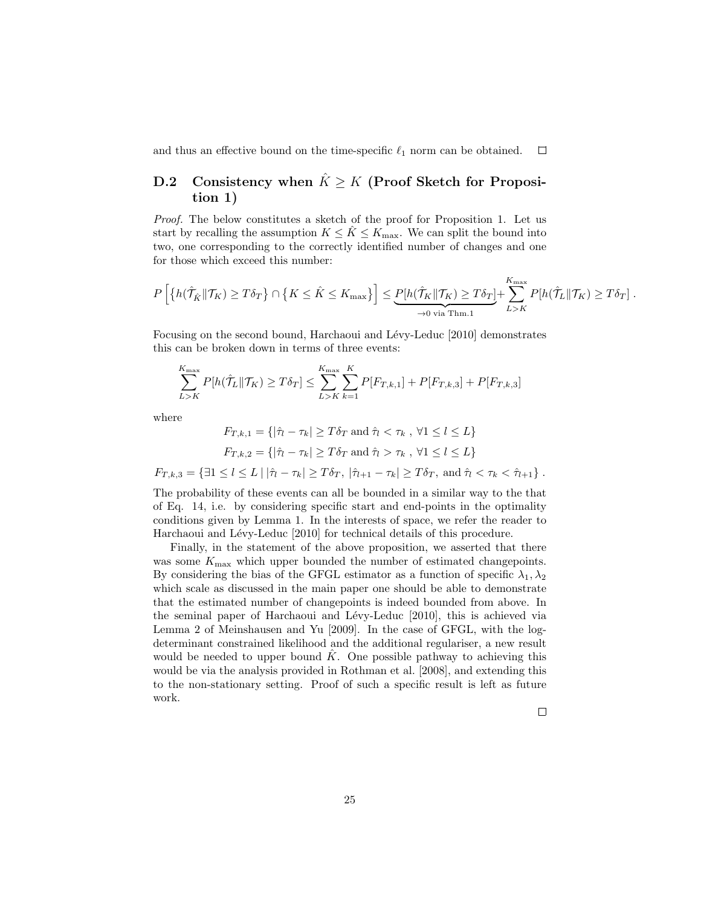and thus an effective bound on the time-specific  $\ell_1$  norm can be obtained.  $\Box$ 

# D.2 Consistency when  $\hat{K} \geq K$  (Proof Sketch for Proposition 1)

Proof. The below constitutes a sketch of the proof for Proposition 1. Let us start by recalling the assumption  $K \leq K \leq K_{\text{max}}$ . We can split the bound into two, one corresponding to the correctly identified number of changes and one for those which exceed this number:

$$
P\left[\left\{h(\hat{\mathcal{T}}_{\hat{K}}\|\mathcal{T}_{K})\geq T\delta_{T}\right\}\cap\left\{K\leq \hat{K}\leq K_{\max}\right\}\right]\leq \underbrace{P[h(\hat{\mathcal{T}}_{K}\|\mathcal{T}_{K})\geq T\delta_{T}]}_{\rightarrow 0 \text{ via Thm.1}}+\sum_{L>K}^{K_{\max}}P[h(\hat{\mathcal{T}}_{L}\|\mathcal{T}_{K})\geq T\delta_{T}].
$$

Focusing on the second bound, Harchaoui and Lévy-Leduc [2010] demonstrates this can be broken down in terms of three events:

$$
\sum_{L>K}^{K_{\max}} P[h(\hat{\mathcal{T}}_L || \mathcal{T}_K) \ge T\delta_T] \le \sum_{L>K}^{K_{\max}} \sum_{k=1}^{K} P[F_{T,k,1}] + P[F_{T,k,3}] + P[F_{T,k,3}]
$$

where

$$
F_{T,k,1} = \{ |\hat{\tau}_l - \tau_k| \ge T\delta_T \text{ and } \hat{\tau}_l < \tau_k \, , \, \forall 1 \le l \le L \}
$$
\n
$$
F_{T,k,2} = \{ |\hat{\tau}_l - \tau_k| \ge T\delta_T \text{ and } \hat{\tau}_l > \tau_k \, , \, \forall 1 \le l \le L \}
$$

 $F_{T,k,3} = \{ \exists 1 \leq l \leq L \mid |\hat{\tau}_l - \tau_k| \geq T \delta_T, |\hat{\tau}_{l+1} - \tau_k| \geq T \delta_T, \text{ and } \hat{\tau}_l < \tau_k < \hat{\tau}_{l+1} \}$ .

The probability of these events can all be bounded in a similar way to the that of Eq. 14, i.e. by considering specific start and end-points in the optimality conditions given by Lemma 1. In the interests of space, we refer the reader to Harchaoui and Lévy-Leduc [2010] for technical details of this procedure.

Finally, in the statement of the above proposition, we asserted that there was some  $K_{\text{max}}$  which upper bounded the number of estimated changepoints. By considering the bias of the GFGL estimator as a function of specific  $\lambda_1, \lambda_2$ which scale as discussed in the main paper one should be able to demonstrate that the estimated number of changepoints is indeed bounded from above. In the seminal paper of Harchaoui and Lévy-Leduc [2010], this is achieved via Lemma 2 of Meinshausen and Yu [2009]. In the case of GFGL, with the logdeterminant constrained likelihood and the additional regulariser, a new result would be needed to upper bound  $\tilde{K}$ . One possible pathway to achieving this would be via the analysis provided in Rothman et al. [2008], and extending this to the non-stationary setting. Proof of such a specific result is left as future work.

 $\Box$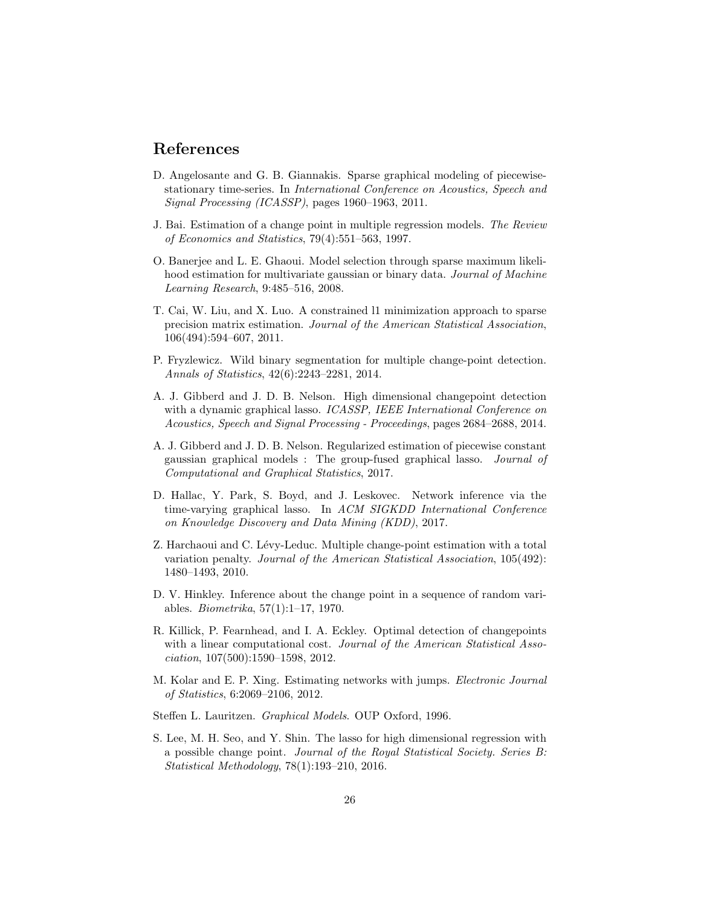# References

- D. Angelosante and G. B. Giannakis. Sparse graphical modeling of piecewisestationary time-series. In International Conference on Acoustics, Speech and Signal Processing (ICASSP), pages 1960–1963, 2011.
- J. Bai. Estimation of a change point in multiple regression models. The Review of Economics and Statistics, 79(4):551–563, 1997.
- O. Banerjee and L. E. Ghaoui. Model selection through sparse maximum likelihood estimation for multivariate gaussian or binary data. *Journal of Machine* Learning Research, 9:485–516, 2008.
- T. Cai, W. Liu, and X. Luo. A constrained l1 minimization approach to sparse precision matrix estimation. Journal of the American Statistical Association, 106(494):594–607, 2011.
- P. Fryzlewicz. Wild binary segmentation for multiple change-point detection. Annals of Statistics, 42(6):2243–2281, 2014.
- A. J. Gibberd and J. D. B. Nelson. High dimensional changepoint detection with a dynamic graphical lasso. ICASSP, IEEE International Conference on Acoustics, Speech and Signal Processing - Proceedings, pages 2684–2688, 2014.
- A. J. Gibberd and J. D. B. Nelson. Regularized estimation of piecewise constant gaussian graphical models : The group-fused graphical lasso. Journal of Computational and Graphical Statistics, 2017.
- D. Hallac, Y. Park, S. Boyd, and J. Leskovec. Network inference via the time-varying graphical lasso. In ACM SIGKDD International Conference on Knowledge Discovery and Data Mining (KDD), 2017.
- Z. Harchaoui and C. Lévy-Leduc. Multiple change-point estimation with a total variation penalty. Journal of the American Statistical Association, 105(492): 1480–1493, 2010.
- D. V. Hinkley. Inference about the change point in a sequence of random variables. Biometrika, 57(1):1–17, 1970.
- R. Killick, P. Fearnhead, and I. A. Eckley. Optimal detection of changepoints with a linear computational cost. Journal of the American Statistical Association, 107(500):1590–1598, 2012.
- M. Kolar and E. P. Xing. Estimating networks with jumps. Electronic Journal of Statistics, 6:2069–2106, 2012.
- Steffen L. Lauritzen. Graphical Models. OUP Oxford, 1996.
- S. Lee, M. H. Seo, and Y. Shin. The lasso for high dimensional regression with a possible change point. Journal of the Royal Statistical Society. Series B: Statistical Methodology, 78(1):193–210, 2016.